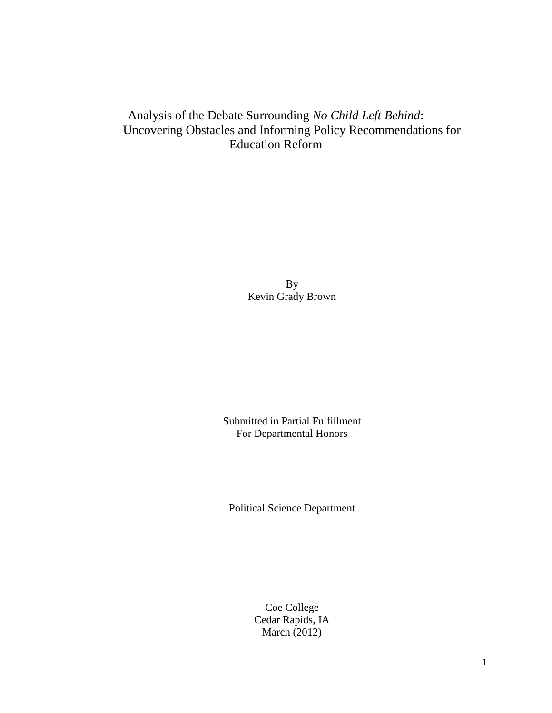# Analysis of the Debate Surrounding *No Child Left Behind*: Uncovering Obstacles and Informing Policy Recommendations for Education Reform

By Kevin Grady Brown

Submitted in Partial Fulfillment For Departmental Honors

Political Science Department

Coe College Cedar Rapids, IA March (2012)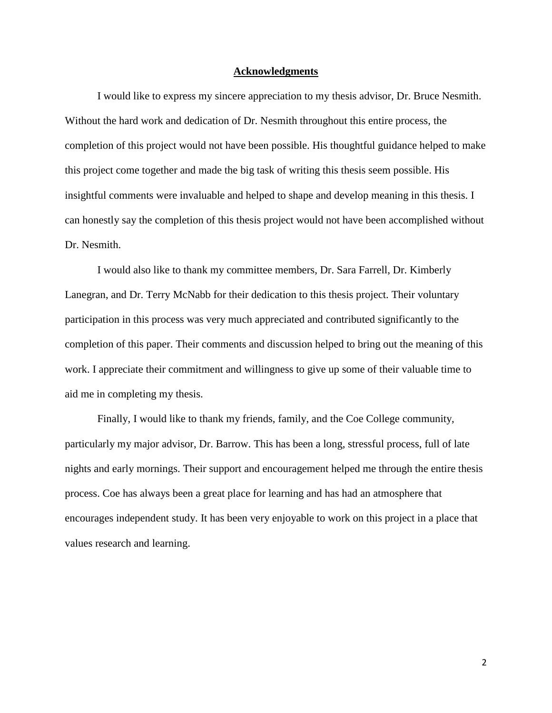#### **Acknowledgments**

I would like to express my sincere appreciation to my thesis advisor, Dr. Bruce Nesmith. Without the hard work and dedication of Dr. Nesmith throughout this entire process, the completion of this project would not have been possible. His thoughtful guidance helped to make this project come together and made the big task of writing this thesis seem possible. His insightful comments were invaluable and helped to shape and develop meaning in this thesis. I can honestly say the completion of this thesis project would not have been accomplished without Dr. Nesmith.

I would also like to thank my committee members, Dr. Sara Farrell, Dr. Kimberly Lanegran, and Dr. Terry McNabb for their dedication to this thesis project. Their voluntary participation in this process was very much appreciated and contributed significantly to the completion of this paper. Their comments and discussion helped to bring out the meaning of this work. I appreciate their commitment and willingness to give up some of their valuable time to aid me in completing my thesis.

Finally, I would like to thank my friends, family, and the Coe College community, particularly my major advisor, Dr. Barrow. This has been a long, stressful process, full of late nights and early mornings. Their support and encouragement helped me through the entire thesis process. Coe has always been a great place for learning and has had an atmosphere that encourages independent study. It has been very enjoyable to work on this project in a place that values research and learning.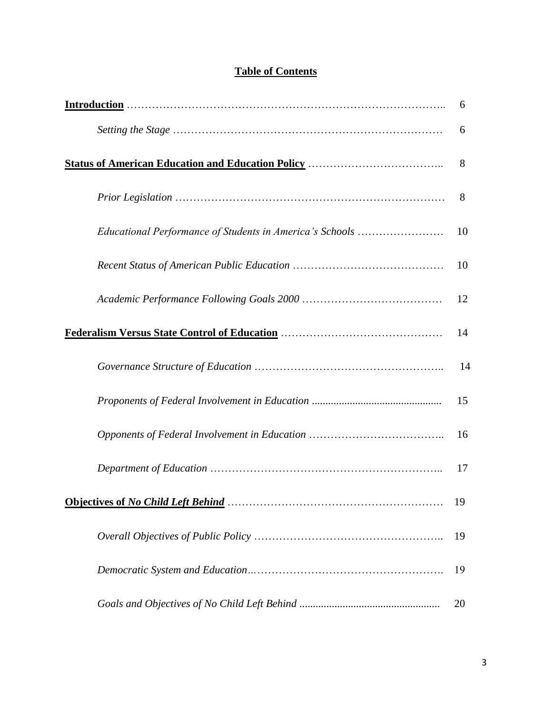|                                                                                                                       | 6  |
|-----------------------------------------------------------------------------------------------------------------------|----|
|                                                                                                                       | 6  |
|                                                                                                                       | 8  |
|                                                                                                                       | 8  |
| Educational Performance of Students in America's Schools                                                              | 10 |
|                                                                                                                       | 10 |
|                                                                                                                       | 12 |
|                                                                                                                       | 14 |
|                                                                                                                       | 14 |
|                                                                                                                       | 15 |
|                                                                                                                       | 16 |
|                                                                                                                       | 17 |
| Objectives of No Child Left Behind Manuscript Contains the Child Left Behind Communist Contains the Child Left Behind | 19 |
|                                                                                                                       | 19 |
|                                                                                                                       | 19 |
|                                                                                                                       | 20 |

# **Table of Contents**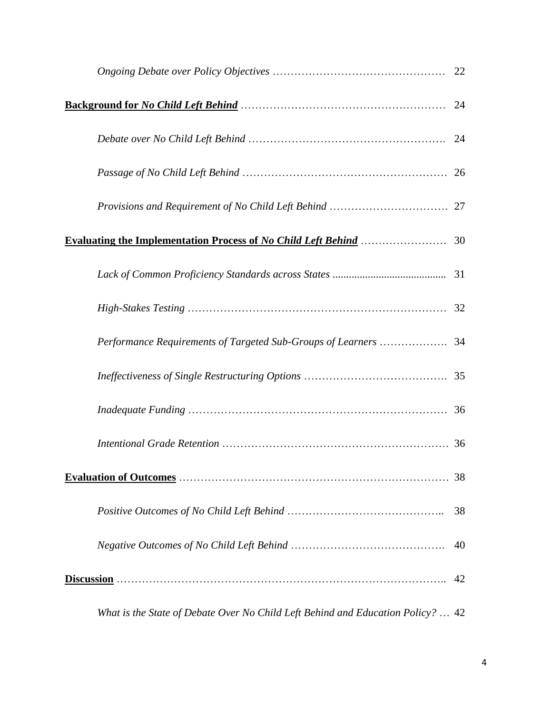|                                                                                         | 22 |
|-----------------------------------------------------------------------------------------|----|
|                                                                                         |    |
|                                                                                         |    |
|                                                                                         |    |
|                                                                                         |    |
| <b>Evaluating the Implementation Process of No Child Left Behind Multipleries 30</b> 30 |    |
|                                                                                         |    |
|                                                                                         |    |
|                                                                                         |    |
|                                                                                         |    |
|                                                                                         |    |
|                                                                                         |    |
|                                                                                         | 38 |
|                                                                                         | 38 |
|                                                                                         | 40 |
|                                                                                         | 42 |
| What is the State of Debate Over No Child Left Behind and Education Policy?  42         |    |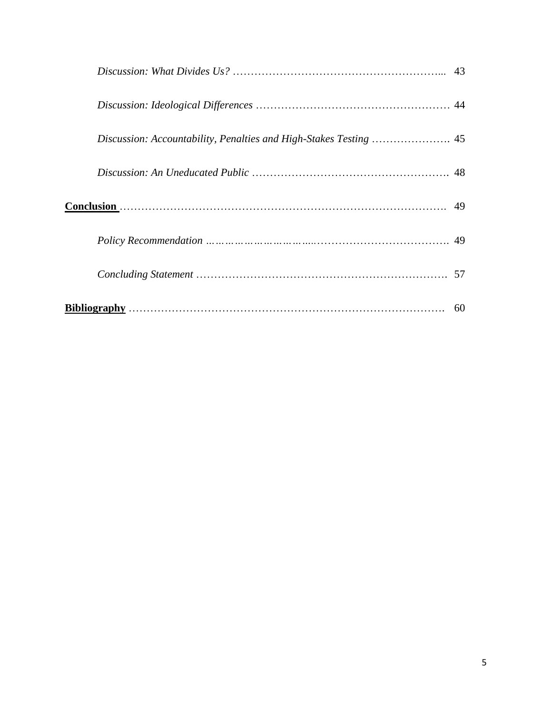| Conclusion (1994) 49 |  |
|----------------------|--|
|                      |  |
|                      |  |
|                      |  |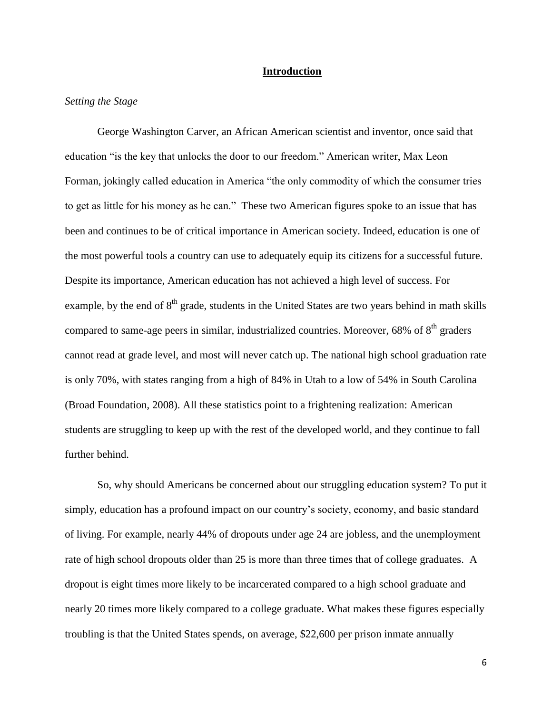### **Introduction**

# *Setting the Stage*

George Washington Carver, an African American scientist and inventor, once said that education "is the key that unlocks the door to our freedom." American writer, Max Leon Forman, jokingly called education in America "the only commodity of which the consumer tries to get as little for his money as he can." These two American figures spoke to an issue that has been and continues to be of critical importance in American society. Indeed, education is one of the most powerful tools a country can use to adequately equip its citizens for a successful future. Despite its importance, American education has not achieved a high level of success. For example, by the end of  $8<sup>th</sup>$  grade, students in the United States are two years behind in math skills compared to same-age peers in similar, industrialized countries. Moreover,  $68\%$  of  $8<sup>th</sup>$  graders cannot read at grade level, and most will never catch up. The national high school graduation rate is only 70%, with states ranging from a high of 84% in Utah to a low of 54% in South Carolina (Broad Foundation, 2008). All these statistics point to a frightening realization: American students are struggling to keep up with the rest of the developed world, and they continue to fall further behind.

So, why should Americans be concerned about our struggling education system? To put it simply, education has a profound impact on our country's society, economy, and basic standard of living. For example, nearly 44% of dropouts under age 24 are jobless, and the unemployment rate of high school dropouts older than 25 is more than three times that of college graduates. A dropout is eight times more likely to be incarcerated compared to a high school graduate and nearly 20 times more likely compared to a college graduate. What makes these figures especially troubling is that the United States spends, on average, \$22,600 per prison inmate annually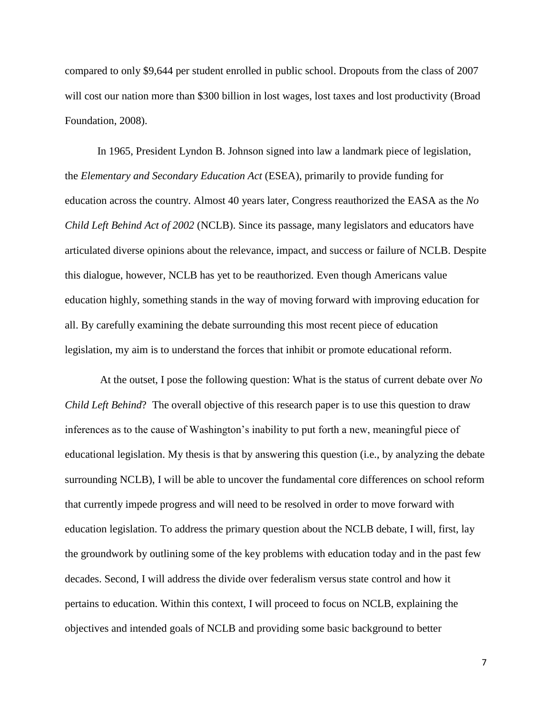compared to only \$9,644 per student enrolled in public school. Dropouts from the class of 2007 will cost our nation more than \$300 billion in lost wages, lost taxes and lost productivity (Broad Foundation, 2008).

In 1965, President Lyndon B. Johnson signed into law a landmark piece of legislation, the *Elementary and Secondary Education Act* (ESEA), primarily to provide funding for education across the country. Almost 40 years later, Congress reauthorized the EASA as the *No Child Left Behind Act of 2002* (NCLB). Since its passage, many legislators and educators have articulated diverse opinions about the relevance, impact, and success or failure of NCLB. Despite this dialogue, however, NCLB has yet to be reauthorized. Even though Americans value education highly, something stands in the way of moving forward with improving education for all. By carefully examining the debate surrounding this most recent piece of education legislation, my aim is to understand the forces that inhibit or promote educational reform.

At the outset, I pose the following question: What is the status of current debate over *No Child Left Behind*? The overall objective of this research paper is to use this question to draw inferences as to the cause of Washington's inability to put forth a new, meaningful piece of educational legislation. My thesis is that by answering this question (i.e., by analyzing the debate surrounding NCLB), I will be able to uncover the fundamental core differences on school reform that currently impede progress and will need to be resolved in order to move forward with education legislation. To address the primary question about the NCLB debate, I will, first, lay the groundwork by outlining some of the key problems with education today and in the past few decades. Second, I will address the divide over federalism versus state control and how it pertains to education. Within this context, I will proceed to focus on NCLB, explaining the objectives and intended goals of NCLB and providing some basic background to better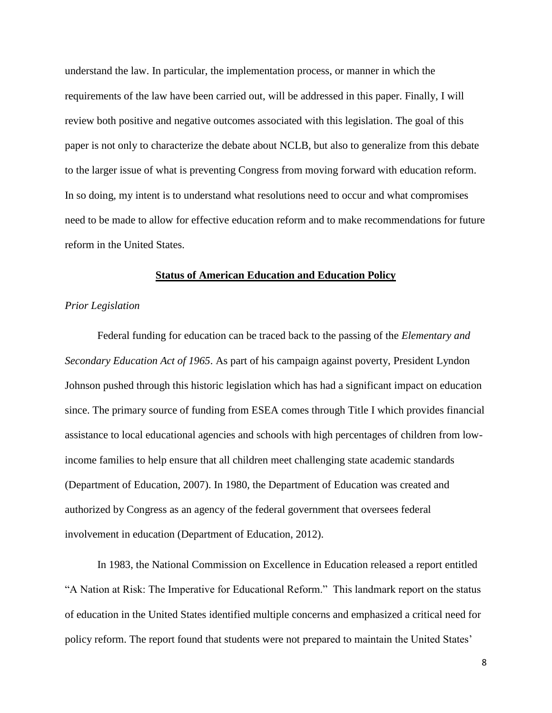understand the law. In particular, the implementation process, or manner in which the requirements of the law have been carried out, will be addressed in this paper. Finally, I will review both positive and negative outcomes associated with this legislation. The goal of this paper is not only to characterize the debate about NCLB, but also to generalize from this debate to the larger issue of what is preventing Congress from moving forward with education reform. In so doing, my intent is to understand what resolutions need to occur and what compromises need to be made to allow for effective education reform and to make recommendations for future reform in the United States.

#### **Status of American Education and Education Policy**

#### *Prior Legislation*

Federal funding for education can be traced back to the passing of the *Elementary and Secondary Education Act of 1965*. As part of his campaign against poverty, President Lyndon Johnson pushed through this historic legislation which has had a significant impact on education since. The primary source of funding from ESEA comes through Title I which provides financial assistance to local educational agencies and schools with high percentages of children from lowincome families to help ensure that all children meet challenging state academic standards (Department of Education, 2007). In 1980, the Department of Education was created and authorized by Congress as an agency of the federal government that oversees federal involvement in education (Department of Education, 2012).

In 1983, the National Commission on Excellence in Education released a report entitled "A Nation at Risk: The Imperative for Educational Reform." This landmark report on the status of education in the United States identified multiple concerns and emphasized a critical need for policy reform. The report found that students were not prepared to maintain the United States'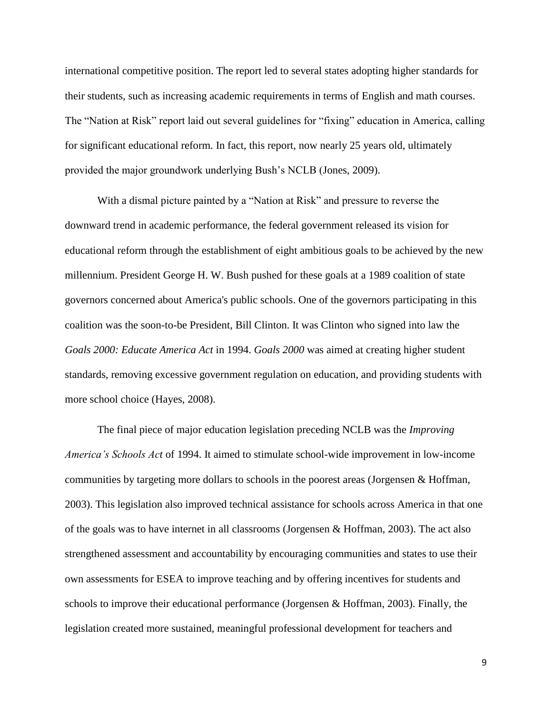international competitive position. The report led to several states adopting higher standards for their students, such as increasing academic requirements in terms of English and math courses. The "Nation at Risk" report laid out several guidelines for "fixing" education in America, calling for significant educational reform. In fact, this report, now nearly 25 years old, ultimately provided the major groundwork underlying Bush's NCLB (Jones, 2009).

With a dismal picture painted by a "Nation at Risk" and pressure to reverse the downward trend in academic performance, the federal government released its vision for educational reform through the establishment of eight ambitious goals to be achieved by the new millennium. President George H. W. Bush pushed for these goals at a 1989 coalition of state governors concerned about America's public schools. One of the governors participating in this coalition was the soon-to-be President, Bill Clinton. It was Clinton who signed into law the *Goals 2000: Educate America Act* in 1994. *Goals 2000* was aimed at creating higher student standards, removing excessive government regulation on education, and providing students with more school choice (Hayes, 2008).

The final piece of major education legislation preceding NCLB was the *Improving America's Schools Act* of 1994. It aimed to stimulate school-wide improvement in low-income communities by targeting more dollars to schools in the poorest areas (Jorgensen & Hoffman, 2003). This legislation also improved technical assistance for schools across America in that one of the goals was to have internet in all classrooms (Jorgensen & Hoffman, 2003). The act also strengthened assessment and accountability by encouraging communities and states to use their own assessments for ESEA to improve teaching and by offering incentives for students and schools to improve their educational performance (Jorgensen & Hoffman, 2003). Finally, the legislation created more sustained, meaningful professional development for teachers and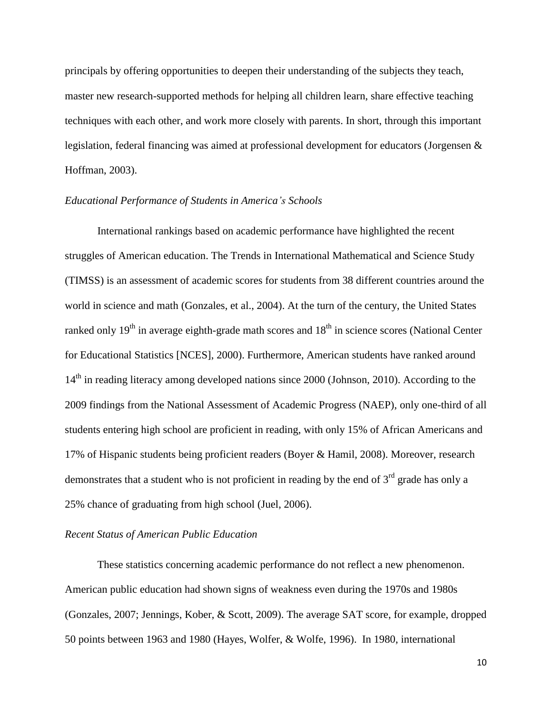principals by offering opportunities to deepen their understanding of the subjects they teach, master new research-supported methods for helping all children learn, share effective teaching techniques with each other, and work more closely with parents. In short, through this important legislation, federal financing was aimed at professional development for educators (Jorgensen & Hoffman, 2003).

### *Educational Performance of Students in America's Schools*

International rankings based on academic performance have highlighted the recent struggles of American education. The Trends in International Mathematical and Science Study (TIMSS) is an assessment of academic scores for students from 38 different countries around the world in science and math (Gonzales, et al., 2004). At the turn of the century, the United States ranked only  $19<sup>th</sup>$  in average eighth-grade math scores and  $18<sup>th</sup>$  in science scores (National Center for Educational Statistics [NCES], 2000). Furthermore, American students have ranked around 14<sup>th</sup> in reading literacy among developed nations since 2000 (Johnson, 2010). According to the 2009 findings from the National Assessment of Academic Progress (NAEP), only one-third of all students entering high school are proficient in reading, with only 15% of African Americans and 17% of Hispanic students being proficient readers (Boyer & Hamil, 2008). Moreover, research demonstrates that a student who is not proficient in reading by the end of  $3<sup>rd</sup>$  grade has only a 25% chance of graduating from high school (Juel, 2006).

## *Recent Status of American Public Education*

These statistics concerning academic performance do not reflect a new phenomenon. American public education had shown signs of weakness even during the 1970s and 1980s (Gonzales, 2007; Jennings, Kober, & Scott, 2009). The average SAT score, for example, dropped 50 points between 1963 and 1980 (Hayes, Wolfer, & Wolfe, 1996). In 1980, international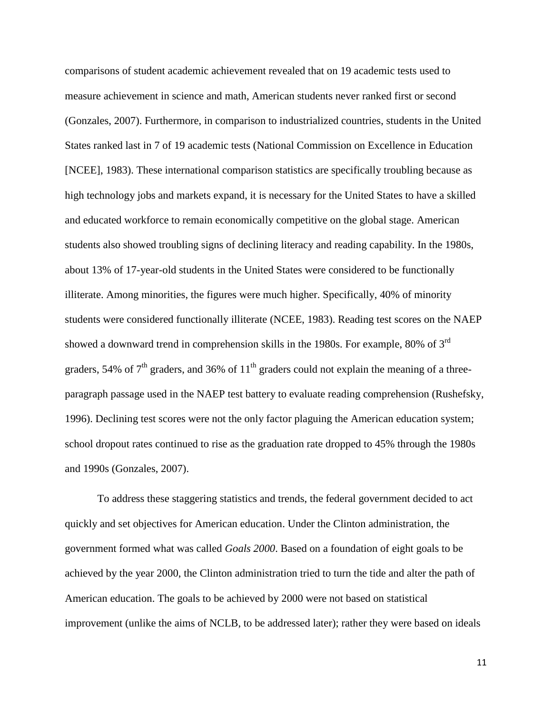comparisons of student academic achievement revealed that on 19 academic tests used to measure achievement in science and math, American students never ranked first or second (Gonzales, 2007). Furthermore, in comparison to industrialized countries, students in the United States ranked last in 7 of 19 academic tests (National Commission on Excellence in Education [NCEE], 1983). These international comparison statistics are specifically troubling because as high technology jobs and markets expand, it is necessary for the United States to have a skilled and educated workforce to remain economically competitive on the global stage. American students also showed troubling signs of declining literacy and reading capability. In the 1980s, about 13% of 17-year-old students in the United States were considered to be functionally illiterate. Among minorities, the figures were much higher. Specifically, 40% of minority students were considered functionally illiterate (NCEE, 1983). Reading test scores on the NAEP showed a downward trend in comprehension skills in the 1980s. For example, 80% of 3rd graders, 54% of  $7<sup>th</sup>$  graders, and 36% of  $11<sup>th</sup>$  graders could not explain the meaning of a threeparagraph passage used in the NAEP test battery to evaluate reading comprehension (Rushefsky, 1996). Declining test scores were not the only factor plaguing the American education system; school dropout rates continued to rise as the graduation rate dropped to 45% through the 1980s and 1990s (Gonzales, 2007).

To address these staggering statistics and trends, the federal government decided to act quickly and set objectives for American education. Under the Clinton administration, the government formed what was called *Goals 2000*. Based on a foundation of eight goals to be achieved by the year 2000, the Clinton administration tried to turn the tide and alter the path of American education. The goals to be achieved by 2000 were not based on statistical improvement (unlike the aims of NCLB, to be addressed later); rather they were based on ideals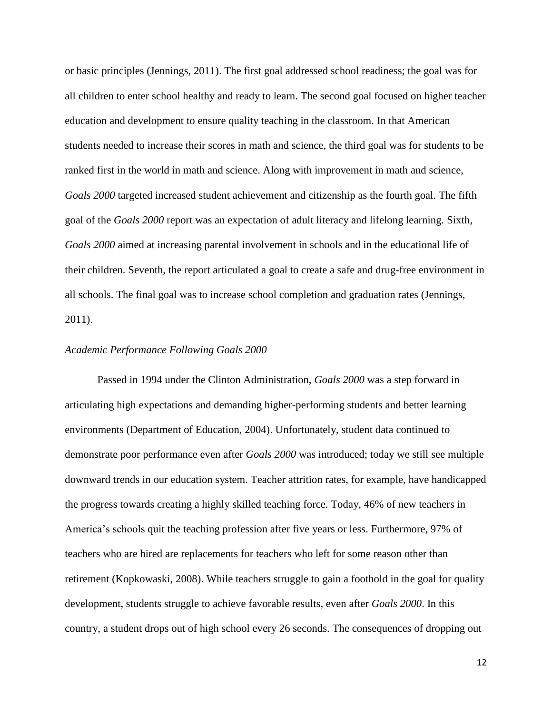or basic principles (Jennings, 2011). The first goal addressed school readiness; the goal was for all children to enter school healthy and ready to learn. The second goal focused on higher teacher education and development to ensure quality teaching in the classroom. In that American students needed to increase their scores in math and science, the third goal was for students to be ranked first in the world in math and science. Along with improvement in math and science, *Goals 2000* targeted increased student achievement and citizenship as the fourth goal. The fifth goal of the *Goals 2000* report was an expectation of adult literacy and lifelong learning. Sixth, *Goals 2000* aimed at increasing parental involvement in schools and in the educational life of their children. Seventh, the report articulated a goal to create a safe and drug-free environment in all schools. The final goal was to increase school completion and graduation rates (Jennings, 2011).

#### *Academic Performance Following Goals 2000*

Passed in 1994 under the Clinton Administration, *Goals 2000* was a step forward in articulating high expectations and demanding higher-performing students and better learning environments (Department of Education, 2004). Unfortunately, student data continued to demonstrate poor performance even after *Goals 2000* was introduced; today we still see multiple downward trends in our education system. Teacher attrition rates, for example, have handicapped the progress towards creating a highly skilled teaching force. Today, 46% of new teachers in America's schools quit the teaching profession after five years or less. Furthermore, 97% of teachers who are hired are replacements for teachers who left for some reason other than retirement (Kopkowaski, 2008). While teachers struggle to gain a foothold in the goal for quality development, students struggle to achieve favorable results, even after *Goals 2000*. In this country, a student drops out of high school every 26 seconds. The consequences of dropping out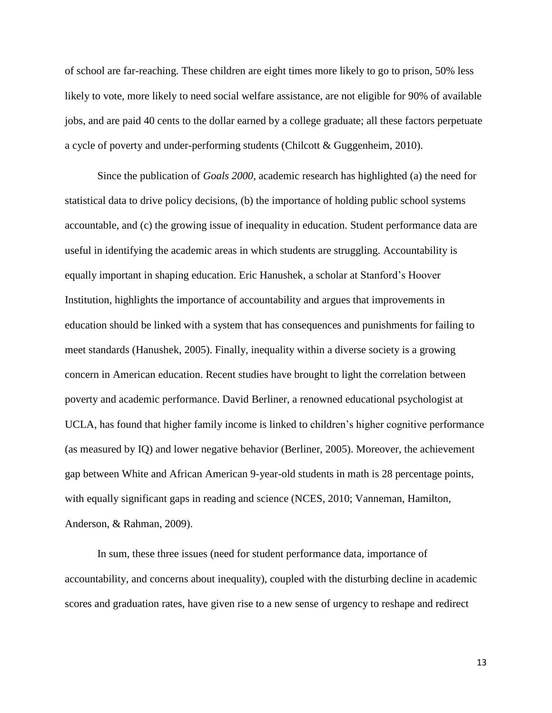of school are far-reaching. These children are eight times more likely to go to prison, 50% less likely to vote, more likely to need social welfare assistance, are not eligible for 90% of available jobs, and are paid 40 cents to the dollar earned by a college graduate; all these factors perpetuate a cycle of poverty and under-performing students (Chilcott & Guggenheim, 2010).

Since the publication of *Goals 2000*, academic research has highlighted (a) the need for statistical data to drive policy decisions, (b) the importance of holding public school systems accountable, and (c) the growing issue of inequality in education. Student performance data are useful in identifying the academic areas in which students are struggling. Accountability is equally important in shaping education. Eric Hanushek, a scholar at Stanford's Hoover Institution, highlights the importance of accountability and argues that improvements in education should be linked with a system that has consequences and punishments for failing to meet standards (Hanushek, 2005). Finally, inequality within a diverse society is a growing concern in American education. Recent studies have brought to light the correlation between poverty and academic performance. David Berliner, a renowned educational psychologist at UCLA, has found that higher family income is linked to children's higher cognitive performance (as measured by IQ) and lower negative behavior (Berliner, 2005). Moreover, the achievement gap between White and African American 9-year-old students in math is 28 percentage points, with equally significant gaps in reading and science (NCES, 2010; Vanneman, Hamilton, Anderson, & Rahman, 2009).

In sum, these three issues (need for student performance data, importance of accountability, and concerns about inequality), coupled with the disturbing decline in academic scores and graduation rates, have given rise to a new sense of urgency to reshape and redirect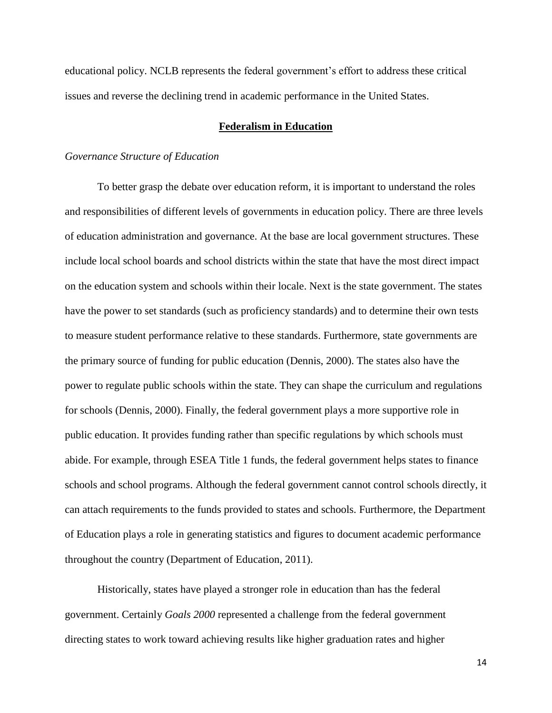educational policy. NCLB represents the federal government's effort to address these critical issues and reverse the declining trend in academic performance in the United States.

## **Federalism in Education**

#### *Governance Structure of Education*

To better grasp the debate over education reform, it is important to understand the roles and responsibilities of different levels of governments in education policy. There are three levels of education administration and governance. At the base are local government structures. These include local school boards and school districts within the state that have the most direct impact on the education system and schools within their locale. Next is the state government. The states have the power to set standards (such as proficiency standards) and to determine their own tests to measure student performance relative to these standards. Furthermore, state governments are the primary source of funding for public education (Dennis, 2000). The states also have the power to regulate public schools within the state. They can shape the curriculum and regulations for schools (Dennis, 2000). Finally, the federal government plays a more supportive role in public education. It provides funding rather than specific regulations by which schools must abide. For example, through ESEA Title 1 funds, the federal government helps states to finance schools and school programs. Although the federal government cannot control schools directly, it can attach requirements to the funds provided to states and schools. Furthermore, the Department of Education plays a role in generating statistics and figures to document academic performance throughout the country (Department of Education, 2011).

Historically, states have played a stronger role in education than has the federal government. Certainly *Goals 2000* represented a challenge from the federal government directing states to work toward achieving results like higher graduation rates and higher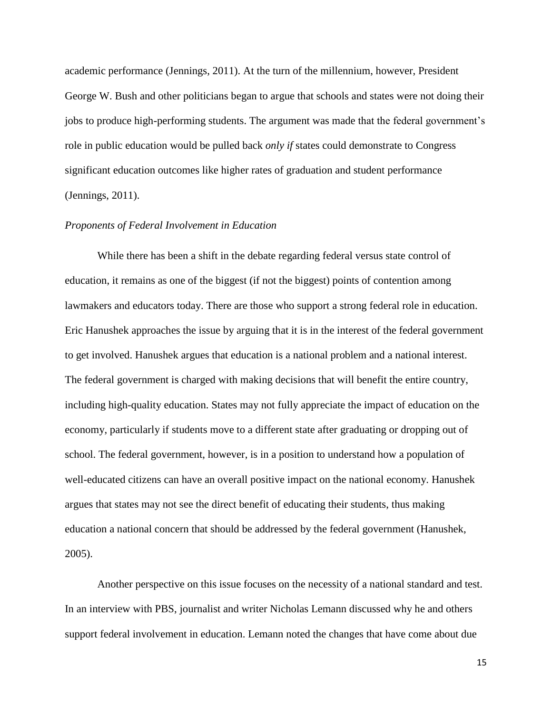academic performance (Jennings, 2011). At the turn of the millennium, however, President George W. Bush and other politicians began to argue that schools and states were not doing their jobs to produce high-performing students. The argument was made that the federal government's role in public education would be pulled back *only if* states could demonstrate to Congress significant education outcomes like higher rates of graduation and student performance (Jennings, 2011).

#### *Proponents of Federal Involvement in Education*

While there has been a shift in the debate regarding federal versus state control of education, it remains as one of the biggest (if not the biggest) points of contention among lawmakers and educators today. There are those who support a strong federal role in education. Eric Hanushek approaches the issue by arguing that it is in the interest of the federal government to get involved. Hanushek argues that education is a national problem and a national interest. The federal government is charged with making decisions that will benefit the entire country, including high-quality education. States may not fully appreciate the impact of education on the economy, particularly if students move to a different state after graduating or dropping out of school. The federal government, however, is in a position to understand how a population of well-educated citizens can have an overall positive impact on the national economy. Hanushek argues that states may not see the direct benefit of educating their students, thus making education a national concern that should be addressed by the federal government (Hanushek, 2005).

Another perspective on this issue focuses on the necessity of a national standard and test. In an interview with PBS, journalist and writer Nicholas Lemann discussed why he and others support federal involvement in education. Lemann noted the changes that have come about due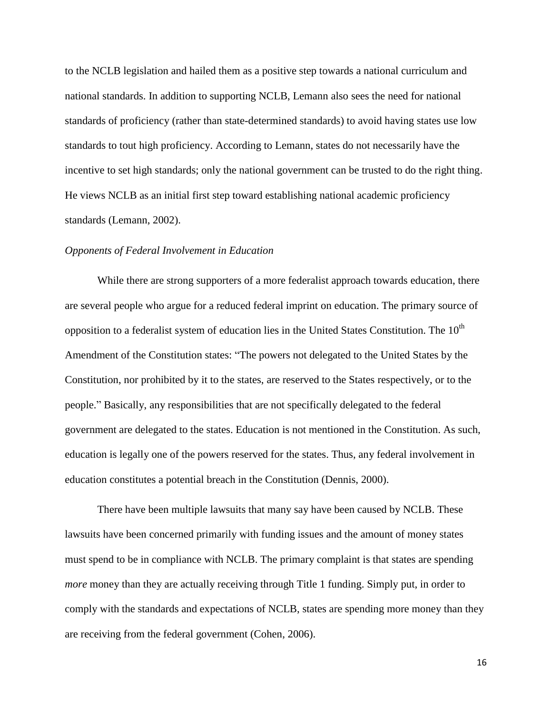to the NCLB legislation and hailed them as a positive step towards a national curriculum and national standards. In addition to supporting NCLB, Lemann also sees the need for national standards of proficiency (rather than state-determined standards) to avoid having states use low standards to tout high proficiency. According to Lemann, states do not necessarily have the incentive to set high standards; only the national government can be trusted to do the right thing. He views NCLB as an initial first step toward establishing national academic proficiency standards (Lemann, 2002).

## *Opponents of Federal Involvement in Education*

While there are strong supporters of a more federalist approach towards education, there are several people who argue for a reduced federal imprint on education. The primary source of opposition to a federalist system of education lies in the United States Constitution. The  $10<sup>th</sup>$ Amendment of the Constitution states: "The powers not delegated to the United States by the Constitution, nor prohibited by it to the states, are reserved to the States respectively, or to the people." Basically, any responsibilities that are not specifically delegated to the federal government are delegated to the states. Education is not mentioned in the Constitution. As such, education is legally one of the powers reserved for the states. Thus, any federal involvement in education constitutes a potential breach in the Constitution (Dennis, 2000).

There have been multiple lawsuits that many say have been caused by NCLB. These lawsuits have been concerned primarily with funding issues and the amount of money states must spend to be in compliance with NCLB. The primary complaint is that states are spending *more* money than they are actually receiving through Title 1 funding. Simply put, in order to comply with the standards and expectations of NCLB, states are spending more money than they are receiving from the federal government (Cohen, 2006).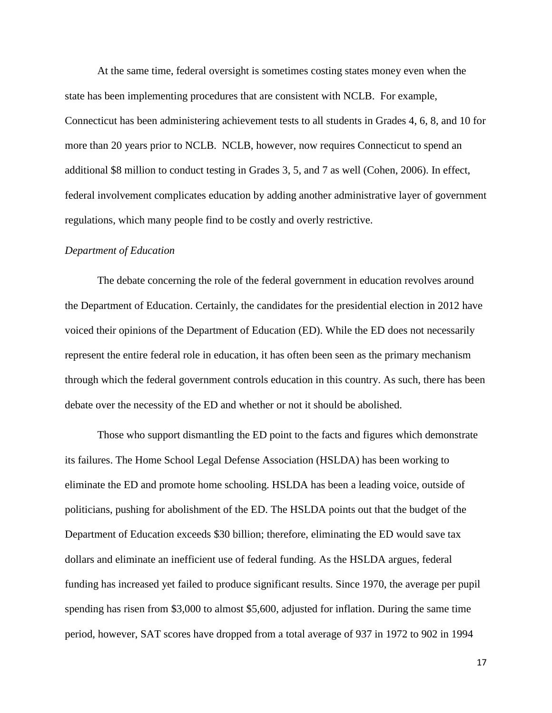At the same time, federal oversight is sometimes costing states money even when the state has been implementing procedures that are consistent with NCLB. For example, Connecticut has been administering achievement tests to all students in Grades 4, 6, 8, and 10 for more than 20 years prior to NCLB. NCLB, however, now requires Connecticut to spend an additional \$8 million to conduct testing in Grades 3, 5, and 7 as well (Cohen, 2006). In effect, federal involvement complicates education by adding another administrative layer of government regulations, which many people find to be costly and overly restrictive.

#### *Department of Education*

The debate concerning the role of the federal government in education revolves around the Department of Education. Certainly, the candidates for the presidential election in 2012 have voiced their opinions of the Department of Education (ED). While the ED does not necessarily represent the entire federal role in education, it has often been seen as the primary mechanism through which the federal government controls education in this country. As such, there has been debate over the necessity of the ED and whether or not it should be abolished.

Those who support dismantling the ED point to the facts and figures which demonstrate its failures. The Home School Legal Defense Association (HSLDA) has been working to eliminate the ED and promote home schooling. HSLDA has been a leading voice, outside of politicians, pushing for abolishment of the ED. The HSLDA points out that the budget of the Department of Education exceeds \$30 billion; therefore, eliminating the ED would save tax dollars and eliminate an inefficient use of federal funding. As the HSLDA argues, federal funding has increased yet failed to produce significant results. Since 1970, the average per pupil spending has risen from \$3,000 to almost \$5,600, adjusted for inflation. During the same time period, however, SAT scores have dropped from a total average of 937 in 1972 to 902 in 1994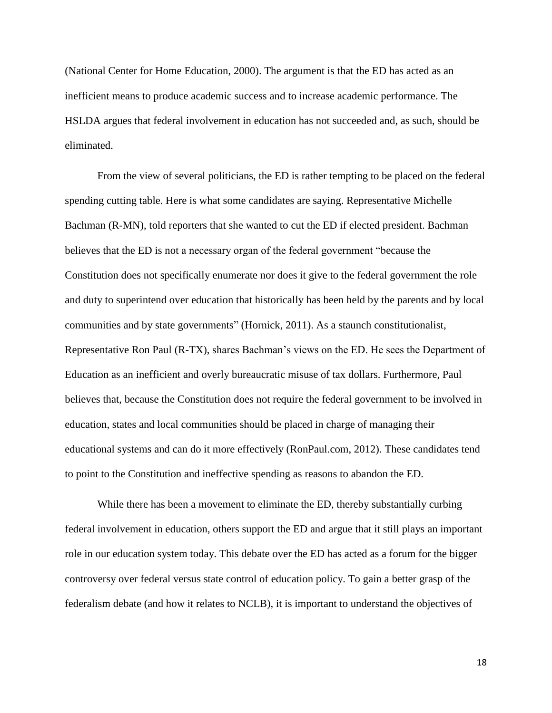(National Center for Home Education, 2000). The argument is that the ED has acted as an inefficient means to produce academic success and to increase academic performance. The HSLDA argues that federal involvement in education has not succeeded and, as such, should be eliminated.

From the view of several politicians, the ED is rather tempting to be placed on the federal spending cutting table. Here is what some candidates are saying. Representative Michelle Bachman (R-MN), told reporters that she wanted to cut the ED if elected president. Bachman believes that the ED is not a necessary organ of the federal government "because the Constitution does not specifically enumerate nor does it give to the federal government the role and duty to superintend over education that historically has been held by the parents and by local communities and by state governments" (Hornick, 2011). As a staunch constitutionalist, Representative Ron Paul (R-TX), shares Bachman's views on the ED. He sees the Department of Education as an inefficient and overly bureaucratic misuse of tax dollars. Furthermore, Paul believes that, because the Constitution does not require the federal government to be involved in education, states and local communities should be placed in charge of managing their educational systems and can do it more effectively (RonPaul.com, 2012). These candidates tend to point to the Constitution and ineffective spending as reasons to abandon the ED.

While there has been a movement to eliminate the ED, thereby substantially curbing federal involvement in education, others support the ED and argue that it still plays an important role in our education system today. This debate over the ED has acted as a forum for the bigger controversy over federal versus state control of education policy. To gain a better grasp of the federalism debate (and how it relates to NCLB), it is important to understand the objectives of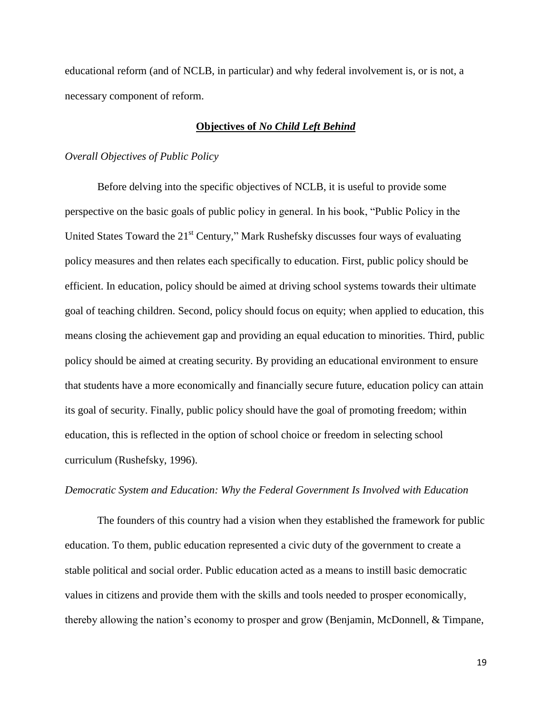educational reform (and of NCLB, in particular) and why federal involvement is, or is not, a necessary component of reform.

# **Objectives of** *No Child Left Behind*

#### *Overall Objectives of Public Policy*

Before delving into the specific objectives of NCLB, it is useful to provide some perspective on the basic goals of public policy in general. In his book, "Public Policy in the United States Toward the  $21<sup>st</sup>$  Century," Mark Rushefsky discusses four ways of evaluating policy measures and then relates each specifically to education. First, public policy should be efficient. In education, policy should be aimed at driving school systems towards their ultimate goal of teaching children. Second, policy should focus on equity; when applied to education, this means closing the achievement gap and providing an equal education to minorities. Third, public policy should be aimed at creating security. By providing an educational environment to ensure that students have a more economically and financially secure future, education policy can attain its goal of security. Finally, public policy should have the goal of promoting freedom; within education, this is reflected in the option of school choice or freedom in selecting school curriculum (Rushefsky, 1996).

## *Democratic System and Education: Why the Federal Government Is Involved with Education*

The founders of this country had a vision when they established the framework for public education. To them, public education represented a civic duty of the government to create a stable political and social order. Public education acted as a means to instill basic democratic values in citizens and provide them with the skills and tools needed to prosper economically, thereby allowing the nation's economy to prosper and grow (Benjamin, McDonnell, & Timpane,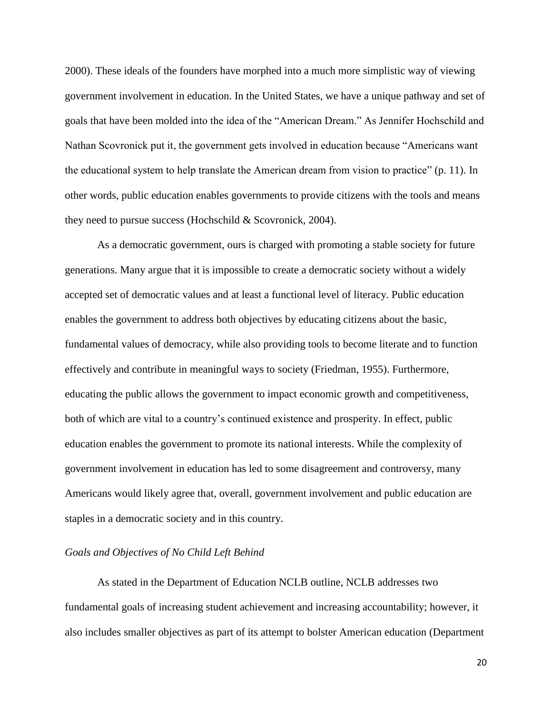2000). These ideals of the founders have morphed into a much more simplistic way of viewing government involvement in education. In the United States, we have a unique pathway and set of goals that have been molded into the idea of the "American Dream." As Jennifer Hochschild and Nathan Scovronick put it, the government gets involved in education because "Americans want the educational system to help translate the American dream from vision to practice" (p. 11). In other words, public education enables governments to provide citizens with the tools and means they need to pursue success (Hochschild & Scovronick, 2004).

As a democratic government, ours is charged with promoting a stable society for future generations. Many argue that it is impossible to create a democratic society without a widely accepted set of democratic values and at least a functional level of literacy. Public education enables the government to address both objectives by educating citizens about the basic, fundamental values of democracy, while also providing tools to become literate and to function effectively and contribute in meaningful ways to society (Friedman, 1955). Furthermore, educating the public allows the government to impact economic growth and competitiveness, both of which are vital to a country's continued existence and prosperity. In effect, public education enables the government to promote its national interests. While the complexity of government involvement in education has led to some disagreement and controversy, many Americans would likely agree that, overall, government involvement and public education are staples in a democratic society and in this country.

# *Goals and Objectives of No Child Left Behind*

As stated in the Department of Education NCLB outline, NCLB addresses two fundamental goals of increasing student achievement and increasing accountability; however, it also includes smaller objectives as part of its attempt to bolster American education (Department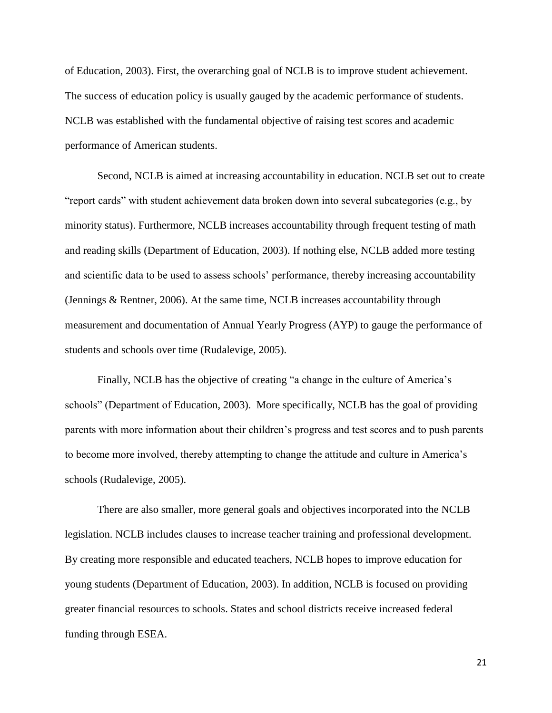of Education, 2003). First, the overarching goal of NCLB is to improve student achievement. The success of education policy is usually gauged by the academic performance of students. NCLB was established with the fundamental objective of raising test scores and academic performance of American students.

Second, NCLB is aimed at increasing accountability in education. NCLB set out to create "report cards" with student achievement data broken down into several subcategories (e.g., by minority status). Furthermore, NCLB increases accountability through frequent testing of math and reading skills (Department of Education, 2003). If nothing else, NCLB added more testing and scientific data to be used to assess schools' performance, thereby increasing accountability (Jennings & Rentner, 2006). At the same time, NCLB increases accountability through measurement and documentation of Annual Yearly Progress (AYP) to gauge the performance of students and schools over time (Rudalevige, 2005).

Finally, NCLB has the objective of creating "a change in the culture of America's schools" (Department of Education, 2003). More specifically, NCLB has the goal of providing parents with more information about their children's progress and test scores and to push parents to become more involved, thereby attempting to change the attitude and culture in America's schools (Rudalevige, 2005).

There are also smaller, more general goals and objectives incorporated into the NCLB legislation. NCLB includes clauses to increase teacher training and professional development. By creating more responsible and educated teachers, NCLB hopes to improve education for young students (Department of Education, 2003). In addition, NCLB is focused on providing greater financial resources to schools. States and school districts receive increased federal funding through ESEA.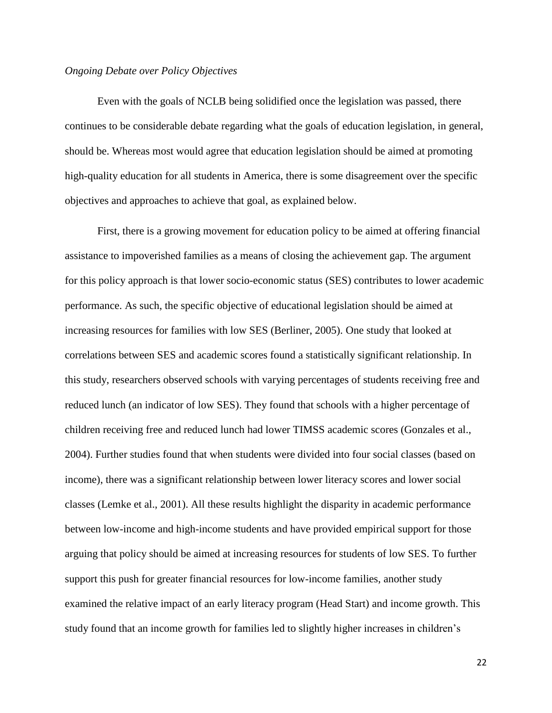## *Ongoing Debate over Policy Objectives*

Even with the goals of NCLB being solidified once the legislation was passed, there continues to be considerable debate regarding what the goals of education legislation, in general, should be. Whereas most would agree that education legislation should be aimed at promoting high-quality education for all students in America, there is some disagreement over the specific objectives and approaches to achieve that goal, as explained below.

First, there is a growing movement for education policy to be aimed at offering financial assistance to impoverished families as a means of closing the achievement gap. The argument for this policy approach is that lower socio-economic status (SES) contributes to lower academic performance. As such, the specific objective of educational legislation should be aimed at increasing resources for families with low SES (Berliner, 2005). One study that looked at correlations between SES and academic scores found a statistically significant relationship. In this study, researchers observed schools with varying percentages of students receiving free and reduced lunch (an indicator of low SES). They found that schools with a higher percentage of children receiving free and reduced lunch had lower TIMSS academic scores (Gonzales et al., 2004). Further studies found that when students were divided into four social classes (based on income), there was a significant relationship between lower literacy scores and lower social classes (Lemke et al., 2001). All these results highlight the disparity in academic performance between low-income and high-income students and have provided empirical support for those arguing that policy should be aimed at increasing resources for students of low SES. To further support this push for greater financial resources for low-income families, another study examined the relative impact of an early literacy program (Head Start) and income growth. This study found that an income growth for families led to slightly higher increases in children's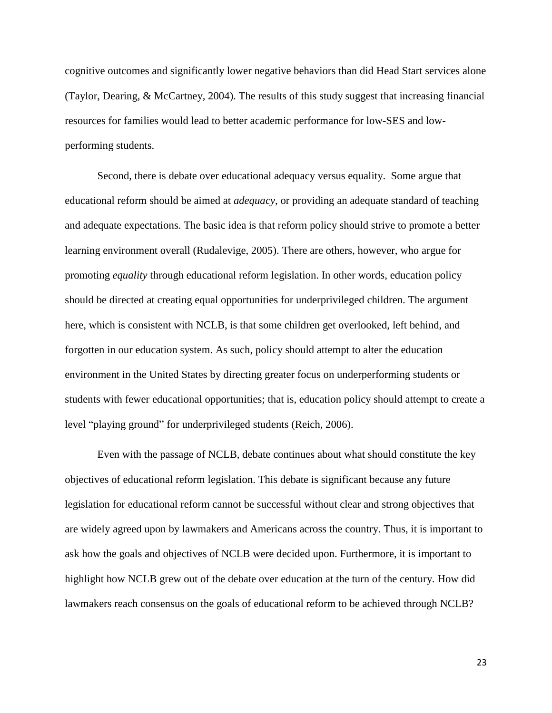cognitive outcomes and significantly lower negative behaviors than did Head Start services alone (Taylor, Dearing, & McCartney, 2004). The results of this study suggest that increasing financial resources for families would lead to better academic performance for low-SES and lowperforming students.

Second, there is debate over educational adequacy versus equality. Some argue that educational reform should be aimed at *adequacy*, or providing an adequate standard of teaching and adequate expectations. The basic idea is that reform policy should strive to promote a better learning environment overall (Rudalevige, 2005). There are others, however, who argue for promoting *equality* through educational reform legislation. In other words, education policy should be directed at creating equal opportunities for underprivileged children. The argument here, which is consistent with NCLB, is that some children get overlooked, left behind, and forgotten in our education system. As such, policy should attempt to alter the education environment in the United States by directing greater focus on underperforming students or students with fewer educational opportunities; that is, education policy should attempt to create a level "playing ground" for underprivileged students (Reich, 2006).

Even with the passage of NCLB, debate continues about what should constitute the key objectives of educational reform legislation. This debate is significant because any future legislation for educational reform cannot be successful without clear and strong objectives that are widely agreed upon by lawmakers and Americans across the country. Thus, it is important to ask how the goals and objectives of NCLB were decided upon. Furthermore, it is important to highlight how NCLB grew out of the debate over education at the turn of the century. How did lawmakers reach consensus on the goals of educational reform to be achieved through NCLB?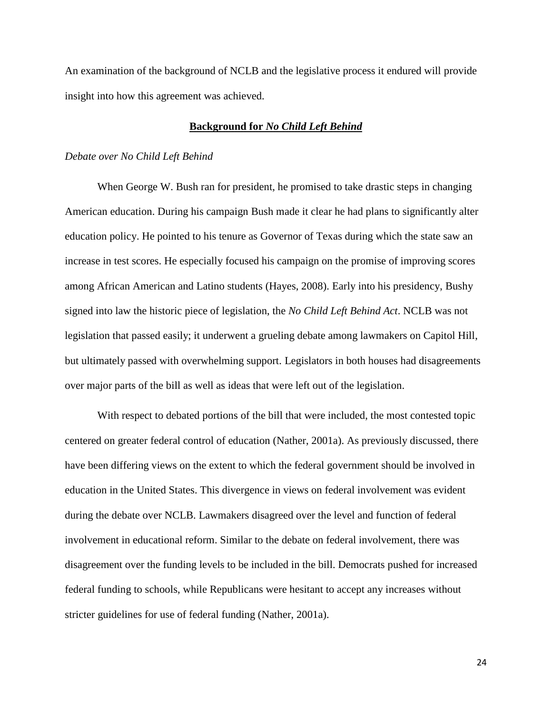An examination of the background of NCLB and the legislative process it endured will provide insight into how this agreement was achieved.

# **Background for** *No Child Left Behind*

#### *Debate over No Child Left Behind*

When George W. Bush ran for president, he promised to take drastic steps in changing American education. During his campaign Bush made it clear he had plans to significantly alter education policy. He pointed to his tenure as Governor of Texas during which the state saw an increase in test scores. He especially focused his campaign on the promise of improving scores among African American and Latino students (Hayes, 2008). Early into his presidency, Bushy signed into law the historic piece of legislation, the *No Child Left Behind Act*. NCLB was not legislation that passed easily; it underwent a grueling debate among lawmakers on Capitol Hill, but ultimately passed with overwhelming support. Legislators in both houses had disagreements over major parts of the bill as well as ideas that were left out of the legislation.

With respect to debated portions of the bill that were included, the most contested topic centered on greater federal control of education (Nather, 2001a). As previously discussed, there have been differing views on the extent to which the federal government should be involved in education in the United States. This divergence in views on federal involvement was evident during the debate over NCLB. Lawmakers disagreed over the level and function of federal involvement in educational reform. Similar to the debate on federal involvement, there was disagreement over the funding levels to be included in the bill. Democrats pushed for increased federal funding to schools, while Republicans were hesitant to accept any increases without stricter guidelines for use of federal funding (Nather, 2001a).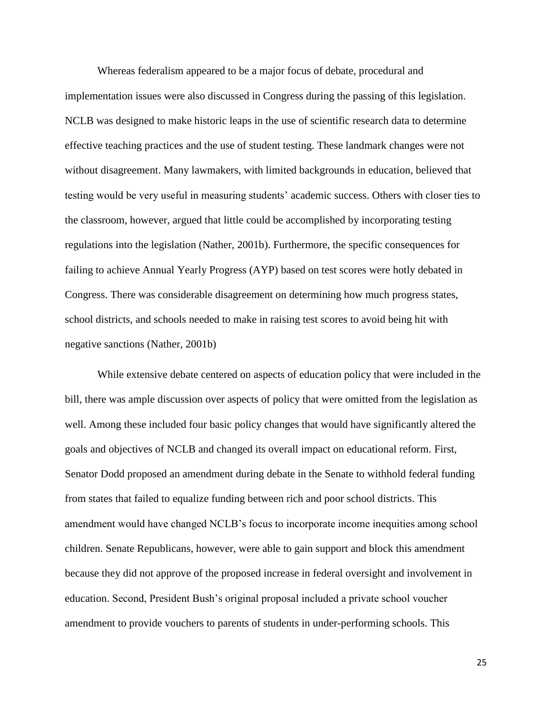Whereas federalism appeared to be a major focus of debate, procedural and implementation issues were also discussed in Congress during the passing of this legislation. NCLB was designed to make historic leaps in the use of scientific research data to determine effective teaching practices and the use of student testing. These landmark changes were not without disagreement. Many lawmakers, with limited backgrounds in education, believed that testing would be very useful in measuring students' academic success. Others with closer ties to the classroom, however, argued that little could be accomplished by incorporating testing regulations into the legislation (Nather, 2001b). Furthermore, the specific consequences for failing to achieve Annual Yearly Progress (AYP) based on test scores were hotly debated in Congress. There was considerable disagreement on determining how much progress states, school districts, and schools needed to make in raising test scores to avoid being hit with negative sanctions (Nather, 2001b)

While extensive debate centered on aspects of education policy that were included in the bill, there was ample discussion over aspects of policy that were omitted from the legislation as well. Among these included four basic policy changes that would have significantly altered the goals and objectives of NCLB and changed its overall impact on educational reform. First, Senator Dodd proposed an amendment during debate in the Senate to withhold federal funding from states that failed to equalize funding between rich and poor school districts. This amendment would have changed NCLB's focus to incorporate income inequities among school children. Senate Republicans, however, were able to gain support and block this amendment because they did not approve of the proposed increase in federal oversight and involvement in education. Second, President Bush's original proposal included a private school voucher amendment to provide vouchers to parents of students in under-performing schools. This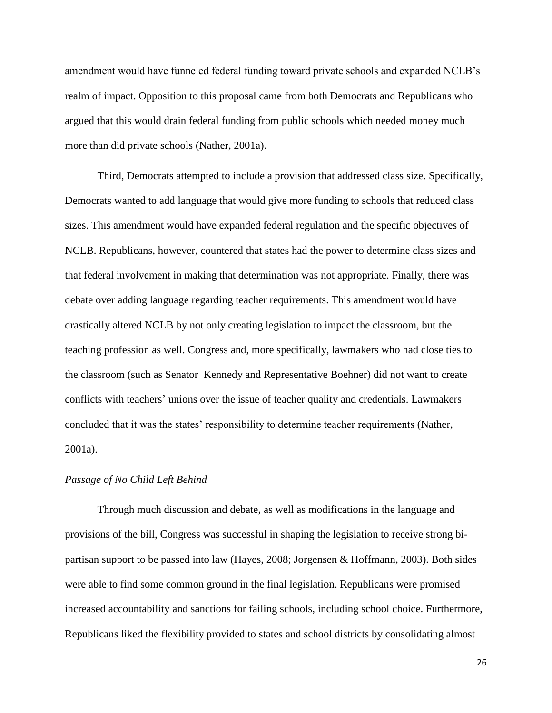amendment would have funneled federal funding toward private schools and expanded NCLB's realm of impact. Opposition to this proposal came from both Democrats and Republicans who argued that this would drain federal funding from public schools which needed money much more than did private schools (Nather, 2001a).

Third, Democrats attempted to include a provision that addressed class size. Specifically, Democrats wanted to add language that would give more funding to schools that reduced class sizes. This amendment would have expanded federal regulation and the specific objectives of NCLB. Republicans, however, countered that states had the power to determine class sizes and that federal involvement in making that determination was not appropriate. Finally, there was debate over adding language regarding teacher requirements. This amendment would have drastically altered NCLB by not only creating legislation to impact the classroom, but the teaching profession as well. Congress and, more specifically, lawmakers who had close ties to the classroom (such as Senator Kennedy and Representative Boehner) did not want to create conflicts with teachers' unions over the issue of teacher quality and credentials. Lawmakers concluded that it was the states' responsibility to determine teacher requirements (Nather, 2001a).

## *Passage of No Child Left Behind*

Through much discussion and debate, as well as modifications in the language and provisions of the bill, Congress was successful in shaping the legislation to receive strong bipartisan support to be passed into law (Hayes, 2008; Jorgensen & Hoffmann, 2003). Both sides were able to find some common ground in the final legislation. Republicans were promised increased accountability and sanctions for failing schools, including school choice. Furthermore, Republicans liked the flexibility provided to states and school districts by consolidating almost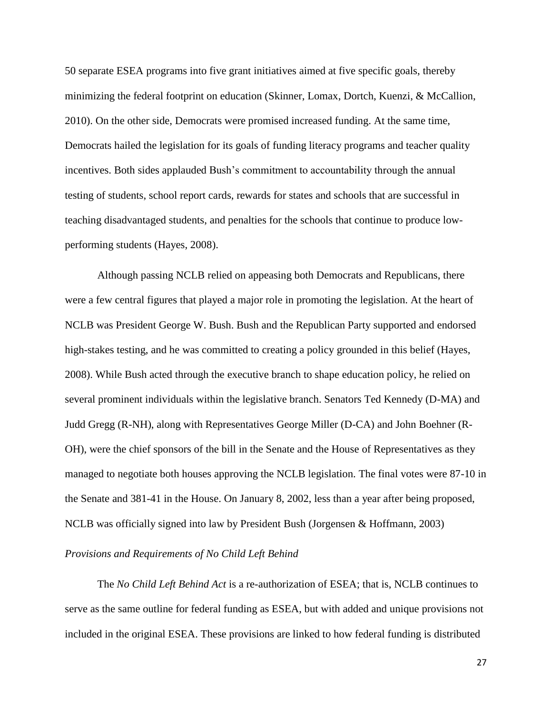50 separate ESEA programs into five grant initiatives aimed at five specific goals, thereby minimizing the federal footprint on education (Skinner, Lomax, Dortch, Kuenzi, & McCallion, 2010). On the other side, Democrats were promised increased funding. At the same time, Democrats hailed the legislation for its goals of funding literacy programs and teacher quality incentives. Both sides applauded Bush's commitment to accountability through the annual testing of students, school report cards, rewards for states and schools that are successful in teaching disadvantaged students, and penalties for the schools that continue to produce lowperforming students (Hayes, 2008).

Although passing NCLB relied on appeasing both Democrats and Republicans, there were a few central figures that played a major role in promoting the legislation. At the heart of NCLB was President George W. Bush. Bush and the Republican Party supported and endorsed high-stakes testing, and he was committed to creating a policy grounded in this belief (Hayes, 2008). While Bush acted through the executive branch to shape education policy, he relied on several prominent individuals within the legislative branch. Senators Ted Kennedy (D-MA) and Judd Gregg (R-NH), along with Representatives George Miller (D-CA) and John Boehner (R-OH), were the chief sponsors of the bill in the Senate and the House of Representatives as they managed to negotiate both houses approving the NCLB legislation. The final votes were 87-10 in the Senate and 381-41 in the House. On January 8, 2002, less than a year after being proposed, NCLB was officially signed into law by President Bush (Jorgensen & Hoffmann, 2003)

# *Provisions and Requirements of No Child Left Behind*

The *No Child Left Behind Act* is a re-authorization of ESEA; that is, NCLB continues to serve as the same outline for federal funding as ESEA, but with added and unique provisions not included in the original ESEA. These provisions are linked to how federal funding is distributed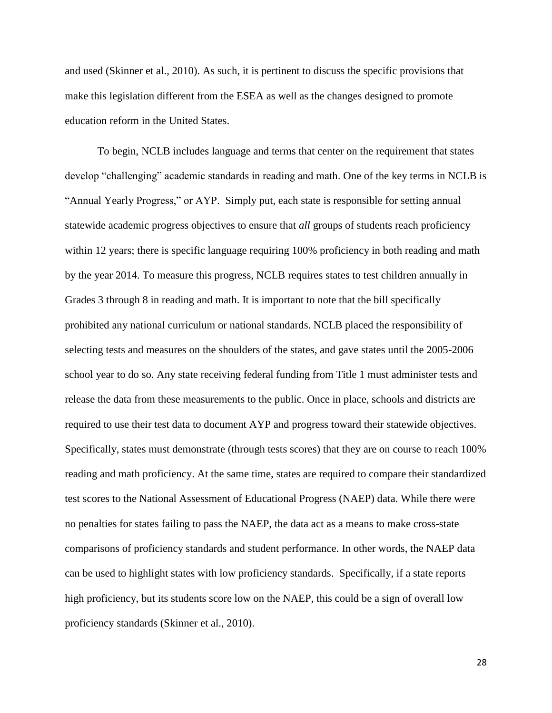and used (Skinner et al., 2010). As such, it is pertinent to discuss the specific provisions that make this legislation different from the ESEA as well as the changes designed to promote education reform in the United States.

To begin, NCLB includes language and terms that center on the requirement that states develop "challenging" academic standards in reading and math. One of the key terms in NCLB is "Annual Yearly Progress," or AYP. Simply put, each state is responsible for setting annual statewide academic progress objectives to ensure that *all* groups of students reach proficiency within 12 years; there is specific language requiring 100% proficiency in both reading and math by the year 2014. To measure this progress, NCLB requires states to test children annually in Grades 3 through 8 in reading and math. It is important to note that the bill specifically prohibited any national curriculum or national standards. NCLB placed the responsibility of selecting tests and measures on the shoulders of the states, and gave states until the 2005-2006 school year to do so. Any state receiving federal funding from Title 1 must administer tests and release the data from these measurements to the public. Once in place, schools and districts are required to use their test data to document AYP and progress toward their statewide objectives. Specifically, states must demonstrate (through tests scores) that they are on course to reach 100% reading and math proficiency. At the same time, states are required to compare their standardized test scores to the National Assessment of Educational Progress (NAEP) data. While there were no penalties for states failing to pass the NAEP, the data act as a means to make cross-state comparisons of proficiency standards and student performance. In other words, the NAEP data can be used to highlight states with low proficiency standards. Specifically, if a state reports high proficiency, but its students score low on the NAEP, this could be a sign of overall low proficiency standards (Skinner et al., 2010).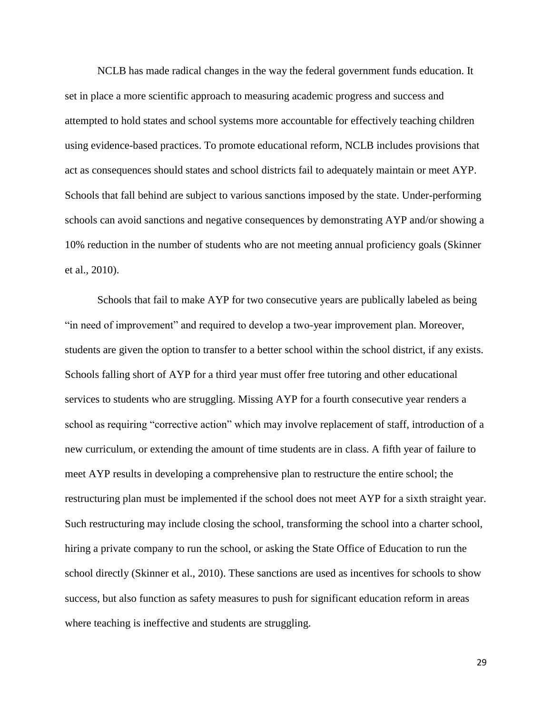NCLB has made radical changes in the way the federal government funds education. It set in place a more scientific approach to measuring academic progress and success and attempted to hold states and school systems more accountable for effectively teaching children using evidence-based practices. To promote educational reform, NCLB includes provisions that act as consequences should states and school districts fail to adequately maintain or meet AYP. Schools that fall behind are subject to various sanctions imposed by the state. Under-performing schools can avoid sanctions and negative consequences by demonstrating AYP and/or showing a 10% reduction in the number of students who are not meeting annual proficiency goals (Skinner et al., 2010).

Schools that fail to make AYP for two consecutive years are publically labeled as being "in need of improvement" and required to develop a two-year improvement plan. Moreover, students are given the option to transfer to a better school within the school district, if any exists. Schools falling short of AYP for a third year must offer free tutoring and other educational services to students who are struggling. Missing AYP for a fourth consecutive year renders a school as requiring "corrective action" which may involve replacement of staff, introduction of a new curriculum, or extending the amount of time students are in class. A fifth year of failure to meet AYP results in developing a comprehensive plan to restructure the entire school; the restructuring plan must be implemented if the school does not meet AYP for a sixth straight year. Such restructuring may include closing the school, transforming the school into a charter school, hiring a private company to run the school, or asking the State Office of Education to run the school directly (Skinner et al., 2010). These sanctions are used as incentives for schools to show success, but also function as safety measures to push for significant education reform in areas where teaching is ineffective and students are struggling.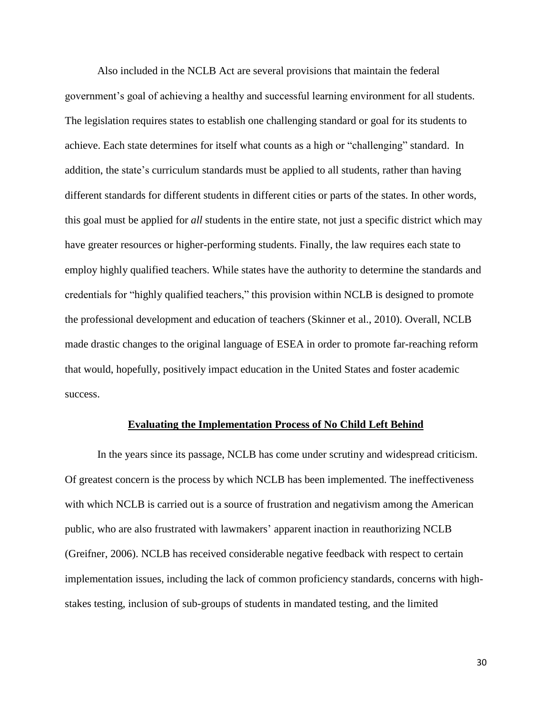Also included in the NCLB Act are several provisions that maintain the federal government's goal of achieving a healthy and successful learning environment for all students. The legislation requires states to establish one challenging standard or goal for its students to achieve. Each state determines for itself what counts as a high or "challenging" standard. In addition, the state's curriculum standards must be applied to all students, rather than having different standards for different students in different cities or parts of the states. In other words, this goal must be applied for *all* students in the entire state, not just a specific district which may have greater resources or higher-performing students. Finally, the law requires each state to employ highly qualified teachers. While states have the authority to determine the standards and credentials for "highly qualified teachers," this provision within NCLB is designed to promote the professional development and education of teachers (Skinner et al., 2010). Overall, NCLB made drastic changes to the original language of ESEA in order to promote far-reaching reform that would, hopefully, positively impact education in the United States and foster academic success.

#### **Evaluating the Implementation Process of No Child Left Behind**

In the years since its passage, NCLB has come under scrutiny and widespread criticism. Of greatest concern is the process by which NCLB has been implemented. The ineffectiveness with which NCLB is carried out is a source of frustration and negativism among the American public, who are also frustrated with lawmakers' apparent inaction in reauthorizing NCLB (Greifner, 2006). NCLB has received considerable negative feedback with respect to certain implementation issues, including the lack of common proficiency standards, concerns with highstakes testing, inclusion of sub-groups of students in mandated testing, and the limited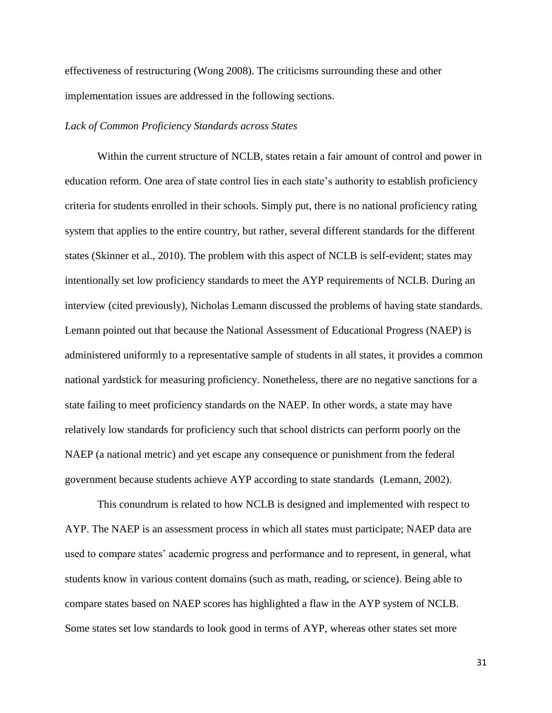effectiveness of restructuring (Wong 2008). The criticisms surrounding these and other implementation issues are addressed in the following sections.

## *Lack of Common Proficiency Standards across States*

Within the current structure of NCLB, states retain a fair amount of control and power in education reform. One area of state control lies in each state's authority to establish proficiency criteria for students enrolled in their schools. Simply put, there is no national proficiency rating system that applies to the entire country, but rather, several different standards for the different states (Skinner et al., 2010). The problem with this aspect of NCLB is self-evident; states may intentionally set low proficiency standards to meet the AYP requirements of NCLB. During an interview (cited previously), Nicholas Lemann discussed the problems of having state standards. Lemann pointed out that because the National Assessment of Educational Progress (NAEP) is administered uniformly to a representative sample of students in all states, it provides a common national yardstick for measuring proficiency. Nonetheless, there are no negative sanctions for a state failing to meet proficiency standards on the NAEP. In other words, a state may have relatively low standards for proficiency such that school districts can perform poorly on the NAEP (a national metric) and yet escape any consequence or punishment from the federal government because students achieve AYP according to state standards (Lemann, 2002).

This conundrum is related to how NCLB is designed and implemented with respect to AYP. The NAEP is an assessment process in which all states must participate; NAEP data are used to compare states' academic progress and performance and to represent, in general, what students know in various content domains (such as math, reading, or science). Being able to compare states based on NAEP scores has highlighted a flaw in the AYP system of NCLB. Some states set low standards to look good in terms of AYP, whereas other states set more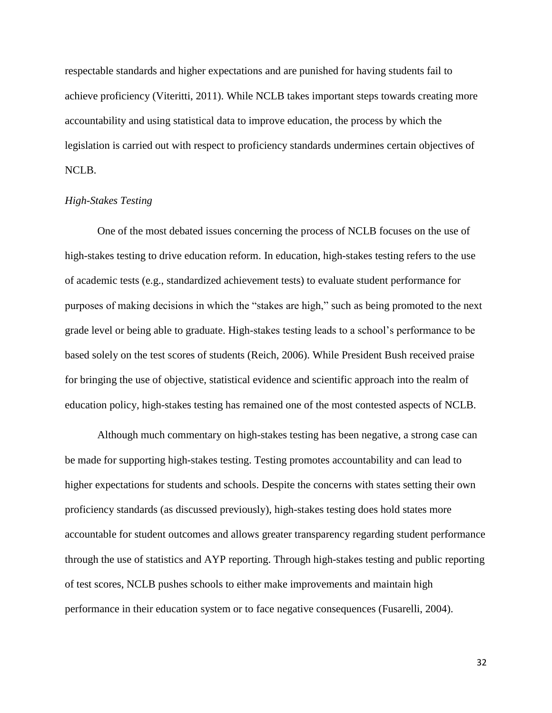respectable standards and higher expectations and are punished for having students fail to achieve proficiency (Viteritti, 2011). While NCLB takes important steps towards creating more accountability and using statistical data to improve education, the process by which the legislation is carried out with respect to proficiency standards undermines certain objectives of NCLB.

# *High-Stakes Testing*

One of the most debated issues concerning the process of NCLB focuses on the use of high-stakes testing to drive education reform. In education, high-stakes testing refers to the use of academic tests (e.g., standardized achievement tests) to evaluate student performance for purposes of making decisions in which the "stakes are high," such as being promoted to the next grade level or being able to graduate. High-stakes testing leads to a school's performance to be based solely on the test scores of students (Reich, 2006). While President Bush received praise for bringing the use of objective, statistical evidence and scientific approach into the realm of education policy, high-stakes testing has remained one of the most contested aspects of NCLB.

Although much commentary on high-stakes testing has been negative, a strong case can be made for supporting high-stakes testing. Testing promotes accountability and can lead to higher expectations for students and schools. Despite the concerns with states setting their own proficiency standards (as discussed previously), high-stakes testing does hold states more accountable for student outcomes and allows greater transparency regarding student performance through the use of statistics and AYP reporting. Through high-stakes testing and public reporting of test scores, NCLB pushes schools to either make improvements and maintain high performance in their education system or to face negative consequences (Fusarelli, 2004).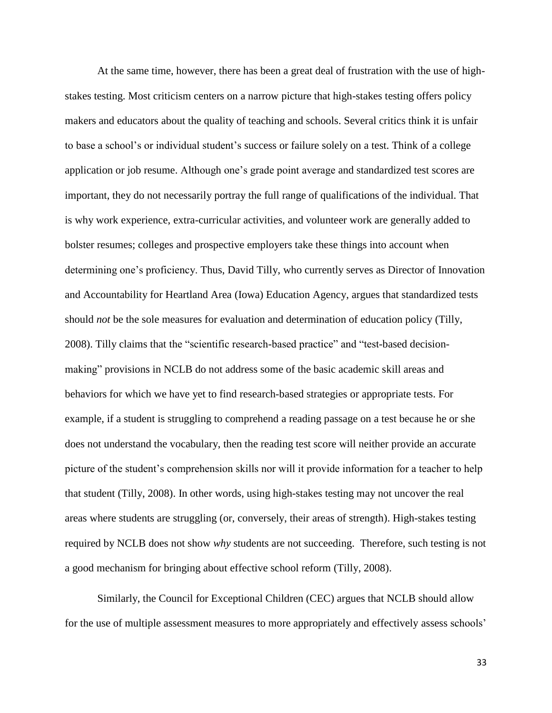At the same time, however, there has been a great deal of frustration with the use of highstakes testing. Most criticism centers on a narrow picture that high-stakes testing offers policy makers and educators about the quality of teaching and schools. Several critics think it is unfair to base a school's or individual student's success or failure solely on a test. Think of a college application or job resume. Although one's grade point average and standardized test scores are important, they do not necessarily portray the full range of qualifications of the individual. That is why work experience, extra-curricular activities, and volunteer work are generally added to bolster resumes; colleges and prospective employers take these things into account when determining one's proficiency. Thus, David Tilly, who currently serves as Director of Innovation and Accountability for Heartland Area (Iowa) Education Agency, argues that standardized tests should *not* be the sole measures for evaluation and determination of education policy (Tilly, 2008). Tilly claims that the "scientific research-based practice" and "test-based decisionmaking" provisions in NCLB do not address some of the basic academic skill areas and behaviors for which we have yet to find research-based strategies or appropriate tests. For example, if a student is struggling to comprehend a reading passage on a test because he or she does not understand the vocabulary, then the reading test score will neither provide an accurate picture of the student's comprehension skills nor will it provide information for a teacher to help that student (Tilly, 2008). In other words, using high-stakes testing may not uncover the real areas where students are struggling (or, conversely, their areas of strength). High-stakes testing required by NCLB does not show *why* students are not succeeding. Therefore, such testing is not a good mechanism for bringing about effective school reform (Tilly, 2008).

Similarly, the Council for Exceptional Children (CEC) argues that NCLB should allow for the use of multiple assessment measures to more appropriately and effectively assess schools'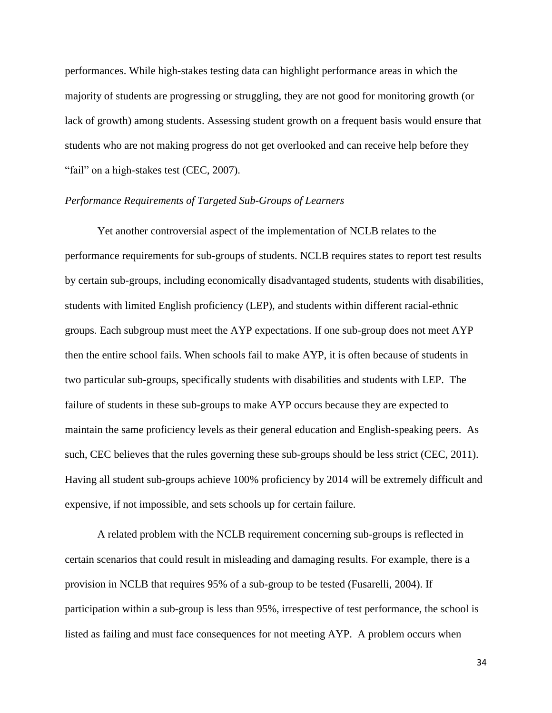performances. While high-stakes testing data can highlight performance areas in which the majority of students are progressing or struggling, they are not good for monitoring growth (or lack of growth) among students. Assessing student growth on a frequent basis would ensure that students who are not making progress do not get overlooked and can receive help before they "fail" on a high-stakes test (CEC, 2007).

### *Performance Requirements of Targeted Sub-Groups of Learners*

Yet another controversial aspect of the implementation of NCLB relates to the performance requirements for sub-groups of students. NCLB requires states to report test results by certain sub-groups, including economically disadvantaged students, students with disabilities, students with limited English proficiency (LEP), and students within different racial-ethnic groups. Each subgroup must meet the AYP expectations. If one sub-group does not meet AYP then the entire school fails. When schools fail to make AYP, it is often because of students in two particular sub-groups, specifically students with disabilities and students with LEP. The failure of students in these sub-groups to make AYP occurs because they are expected to maintain the same proficiency levels as their general education and English-speaking peers. As such, CEC believes that the rules governing these sub-groups should be less strict (CEC, 2011). Having all student sub-groups achieve 100% proficiency by 2014 will be extremely difficult and expensive, if not impossible, and sets schools up for certain failure.

A related problem with the NCLB requirement concerning sub-groups is reflected in certain scenarios that could result in misleading and damaging results. For example, there is a provision in NCLB that requires 95% of a sub-group to be tested (Fusarelli, 2004). If participation within a sub-group is less than 95%, irrespective of test performance, the school is listed as failing and must face consequences for not meeting AYP. A problem occurs when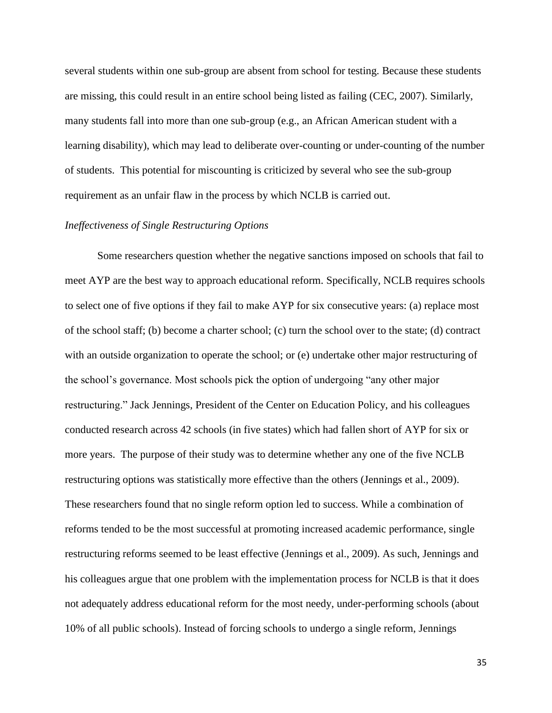several students within one sub-group are absent from school for testing. Because these students are missing, this could result in an entire school being listed as failing (CEC, 2007). Similarly, many students fall into more than one sub-group (e.g., an African American student with a learning disability), which may lead to deliberate over-counting or under-counting of the number of students. This potential for miscounting is criticized by several who see the sub-group requirement as an unfair flaw in the process by which NCLB is carried out.

## *Ineffectiveness of Single Restructuring Options*

Some researchers question whether the negative sanctions imposed on schools that fail to meet AYP are the best way to approach educational reform. Specifically, NCLB requires schools to select one of five options if they fail to make AYP for six consecutive years: (a) replace most of the school staff; (b) become a charter school; (c) turn the school over to the state; (d) contract with an outside organization to operate the school; or (e) undertake other major restructuring of the school's governance. Most schools pick the option of undergoing "any other major restructuring." Jack Jennings, President of the Center on Education Policy, and his colleagues conducted research across 42 schools (in five states) which had fallen short of AYP for six or more years. The purpose of their study was to determine whether any one of the five NCLB restructuring options was statistically more effective than the others (Jennings et al., 2009). These researchers found that no single reform option led to success. While a combination of reforms tended to be the most successful at promoting increased academic performance, single restructuring reforms seemed to be least effective (Jennings et al., 2009). As such, Jennings and his colleagues argue that one problem with the implementation process for NCLB is that it does not adequately address educational reform for the most needy, under-performing schools (about 10% of all public schools). Instead of forcing schools to undergo a single reform, Jennings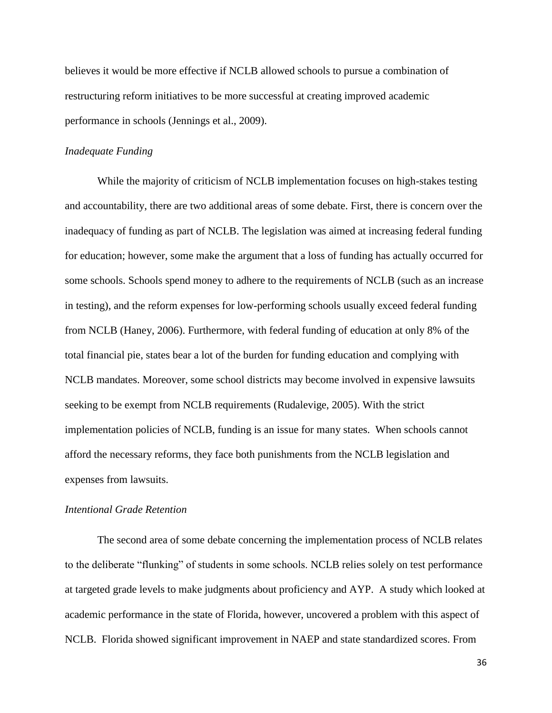believes it would be more effective if NCLB allowed schools to pursue a combination of restructuring reform initiatives to be more successful at creating improved academic performance in schools (Jennings et al., 2009).

# *Inadequate Funding*

While the majority of criticism of NCLB implementation focuses on high-stakes testing and accountability, there are two additional areas of some debate. First, there is concern over the inadequacy of funding as part of NCLB. The legislation was aimed at increasing federal funding for education; however, some make the argument that a loss of funding has actually occurred for some schools. Schools spend money to adhere to the requirements of NCLB (such as an increase in testing), and the reform expenses for low-performing schools usually exceed federal funding from NCLB (Haney, 2006). Furthermore, with federal funding of education at only 8% of the total financial pie, states bear a lot of the burden for funding education and complying with NCLB mandates. Moreover, some school districts may become involved in expensive lawsuits seeking to be exempt from NCLB requirements (Rudalevige, 2005). With the strict implementation policies of NCLB, funding is an issue for many states. When schools cannot afford the necessary reforms, they face both punishments from the NCLB legislation and expenses from lawsuits.

## *Intentional Grade Retention*

The second area of some debate concerning the implementation process of NCLB relates to the deliberate "flunking" of students in some schools. NCLB relies solely on test performance at targeted grade levels to make judgments about proficiency and AYP. A study which looked at academic performance in the state of Florida, however, uncovered a problem with this aspect of NCLB. Florida showed significant improvement in NAEP and state standardized scores. From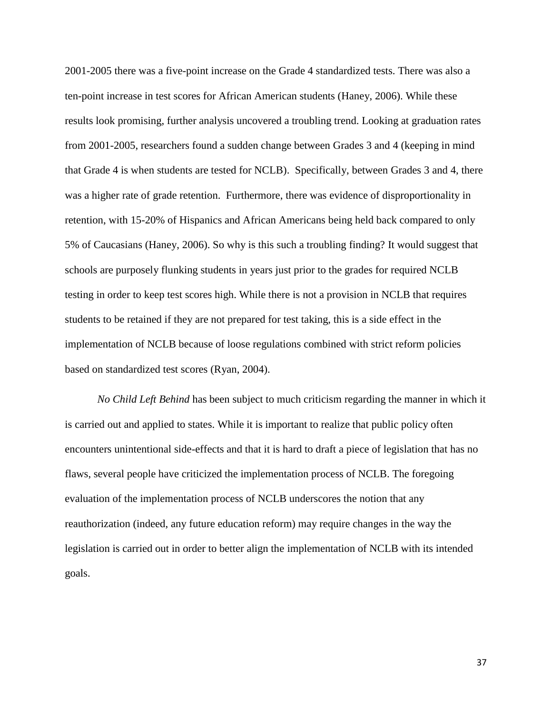2001-2005 there was a five-point increase on the Grade 4 standardized tests. There was also a ten-point increase in test scores for African American students (Haney, 2006). While these results look promising, further analysis uncovered a troubling trend. Looking at graduation rates from 2001-2005, researchers found a sudden change between Grades 3 and 4 (keeping in mind that Grade 4 is when students are tested for NCLB). Specifically, between Grades 3 and 4, there was a higher rate of grade retention. Furthermore, there was evidence of disproportionality in retention, with 15-20% of Hispanics and African Americans being held back compared to only 5% of Caucasians (Haney, 2006). So why is this such a troubling finding? It would suggest that schools are purposely flunking students in years just prior to the grades for required NCLB testing in order to keep test scores high. While there is not a provision in NCLB that requires students to be retained if they are not prepared for test taking, this is a side effect in the implementation of NCLB because of loose regulations combined with strict reform policies based on standardized test scores (Ryan, 2004).

*No Child Left Behind* has been subject to much criticism regarding the manner in which it is carried out and applied to states. While it is important to realize that public policy often encounters unintentional side-effects and that it is hard to draft a piece of legislation that has no flaws, several people have criticized the implementation process of NCLB. The foregoing evaluation of the implementation process of NCLB underscores the notion that any reauthorization (indeed, any future education reform) may require changes in the way the legislation is carried out in order to better align the implementation of NCLB with its intended goals.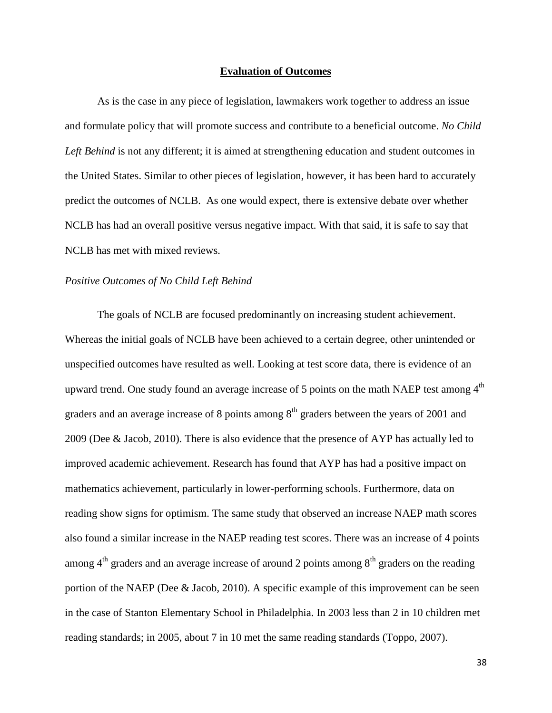#### **Evaluation of Outcomes**

As is the case in any piece of legislation, lawmakers work together to address an issue and formulate policy that will promote success and contribute to a beneficial outcome. *No Child*  Left Behind is not any different; it is aimed at strengthening education and student outcomes in the United States. Similar to other pieces of legislation, however, it has been hard to accurately predict the outcomes of NCLB. As one would expect, there is extensive debate over whether NCLB has had an overall positive versus negative impact. With that said, it is safe to say that NCLB has met with mixed reviews.

#### *Positive Outcomes of No Child Left Behind*

The goals of NCLB are focused predominantly on increasing student achievement. Whereas the initial goals of NCLB have been achieved to a certain degree, other unintended or unspecified outcomes have resulted as well. Looking at test score data, there is evidence of an upward trend. One study found an average increase of 5 points on the math NAEP test among  $4<sup>th</sup>$ graders and an average increase of 8 points among  $8<sup>th</sup>$  graders between the years of 2001 and 2009 (Dee & Jacob, 2010). There is also evidence that the presence of AYP has actually led to improved academic achievement. Research has found that AYP has had a positive impact on mathematics achievement, particularly in lower-performing schools. Furthermore, data on reading show signs for optimism. The same study that observed an increase NAEP math scores also found a similar increase in the NAEP reading test scores. There was an increase of 4 points among  $4<sup>th</sup>$  graders and an average increase of around 2 points among  $8<sup>th</sup>$  graders on the reading portion of the NAEP (Dee & Jacob, 2010). A specific example of this improvement can be seen in the case of Stanton Elementary School in Philadelphia. In 2003 less than 2 in 10 children met reading standards; in 2005, about 7 in 10 met the same reading standards (Toppo, 2007).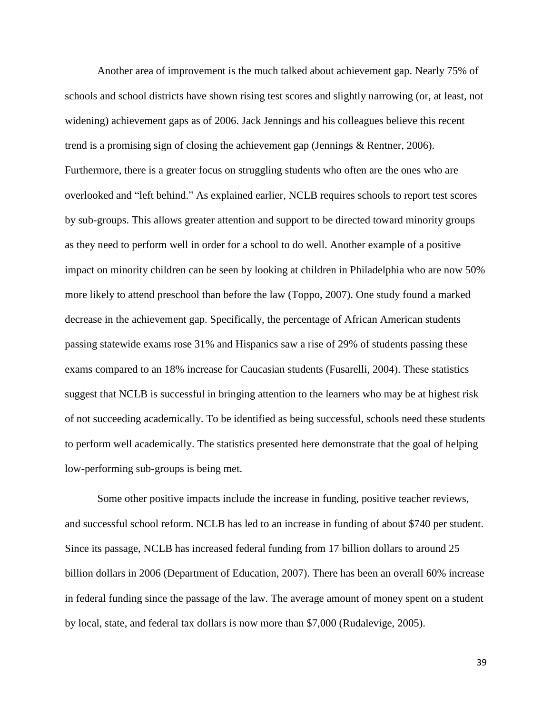Another area of improvement is the much talked about achievement gap. Nearly 75% of schools and school districts have shown rising test scores and slightly narrowing (or, at least, not widening) achievement gaps as of 2006. Jack Jennings and his colleagues believe this recent trend is a promising sign of closing the achievement gap (Jennings & Rentner, 2006). Furthermore, there is a greater focus on struggling students who often are the ones who are overlooked and "left behind." As explained earlier, NCLB requires schools to report test scores by sub-groups. This allows greater attention and support to be directed toward minority groups as they need to perform well in order for a school to do well. Another example of a positive impact on minority children can be seen by looking at children in Philadelphia who are now 50% more likely to attend preschool than before the law (Toppo, 2007). One study found a marked decrease in the achievement gap. Specifically, the percentage of African American students passing statewide exams rose 31% and Hispanics saw a rise of 29% of students passing these exams compared to an 18% increase for Caucasian students (Fusarelli, 2004). These statistics suggest that NCLB is successful in bringing attention to the learners who may be at highest risk of not succeeding academically. To be identified as being successful, schools need these students to perform well academically. The statistics presented here demonstrate that the goal of helping low-performing sub-groups is being met.

Some other positive impacts include the increase in funding, positive teacher reviews, and successful school reform. NCLB has led to an increase in funding of about \$740 per student. Since its passage, NCLB has increased federal funding from 17 billion dollars to around 25 billion dollars in 2006 (Department of Education, 2007). There has been an overall 60% increase in federal funding since the passage of the law. The average amount of money spent on a student by local, state, and federal tax dollars is now more than \$7,000 (Rudalevige, 2005).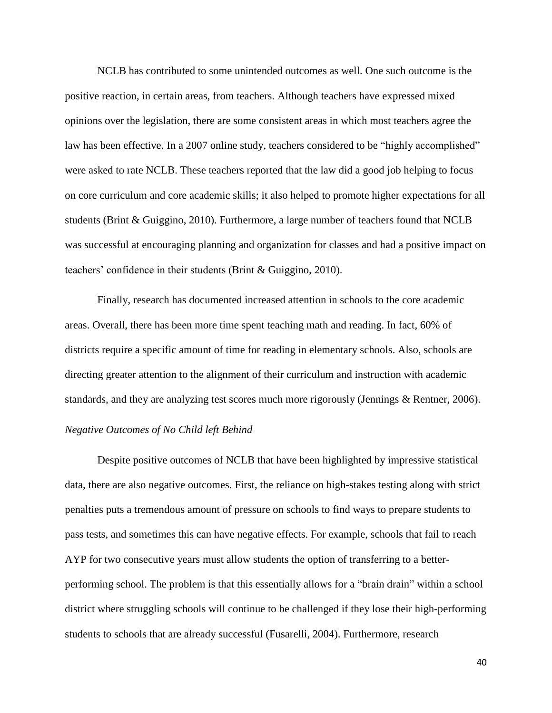NCLB has contributed to some unintended outcomes as well. One such outcome is the positive reaction, in certain areas, from teachers. Although teachers have expressed mixed opinions over the legislation, there are some consistent areas in which most teachers agree the law has been effective. In a 2007 online study, teachers considered to be "highly accomplished" were asked to rate NCLB. These teachers reported that the law did a good job helping to focus on core curriculum and core academic skills; it also helped to promote higher expectations for all students (Brint & Guiggino, 2010). Furthermore, a large number of teachers found that NCLB was successful at encouraging planning and organization for classes and had a positive impact on teachers' confidence in their students (Brint & Guiggino, 2010).

Finally, research has documented increased attention in schools to the core academic areas. Overall, there has been more time spent teaching math and reading. In fact, 60% of districts require a specific amount of time for reading in elementary schools. Also, schools are directing greater attention to the alignment of their curriculum and instruction with academic standards, and they are analyzing test scores much more rigorously (Jennings & Rentner, 2006).

# *Negative Outcomes of No Child left Behind*

Despite positive outcomes of NCLB that have been highlighted by impressive statistical data, there are also negative outcomes. First, the reliance on high-stakes testing along with strict penalties puts a tremendous amount of pressure on schools to find ways to prepare students to pass tests, and sometimes this can have negative effects. For example, schools that fail to reach AYP for two consecutive years must allow students the option of transferring to a betterperforming school. The problem is that this essentially allows for a "brain drain" within a school district where struggling schools will continue to be challenged if they lose their high-performing students to schools that are already successful (Fusarelli, 2004). Furthermore, research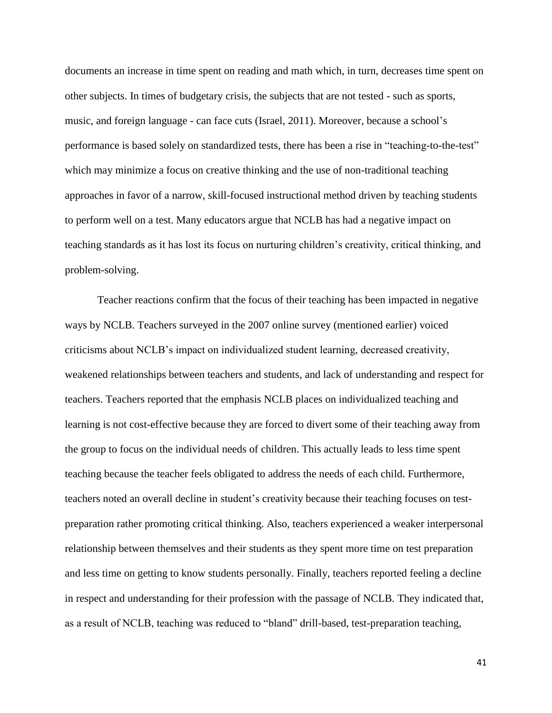documents an increase in time spent on reading and math which, in turn, decreases time spent on other subjects. In times of budgetary crisis, the subjects that are not tested - such as sports, music, and foreign language - can face cuts (Israel, 2011). Moreover, because a school's performance is based solely on standardized tests, there has been a rise in "teaching-to-the-test" which may minimize a focus on creative thinking and the use of non-traditional teaching approaches in favor of a narrow, skill-focused instructional method driven by teaching students to perform well on a test. Many educators argue that NCLB has had a negative impact on teaching standards as it has lost its focus on nurturing children's creativity, critical thinking, and problem-solving.

Teacher reactions confirm that the focus of their teaching has been impacted in negative ways by NCLB. Teachers surveyed in the 2007 online survey (mentioned earlier) voiced criticisms about NCLB's impact on individualized student learning, decreased creativity, weakened relationships between teachers and students, and lack of understanding and respect for teachers. Teachers reported that the emphasis NCLB places on individualized teaching and learning is not cost-effective because they are forced to divert some of their teaching away from the group to focus on the individual needs of children. This actually leads to less time spent teaching because the teacher feels obligated to address the needs of each child. Furthermore, teachers noted an overall decline in student's creativity because their teaching focuses on testpreparation rather promoting critical thinking. Also, teachers experienced a weaker interpersonal relationship between themselves and their students as they spent more time on test preparation and less time on getting to know students personally. Finally, teachers reported feeling a decline in respect and understanding for their profession with the passage of NCLB. They indicated that, as a result of NCLB, teaching was reduced to "bland" drill-based, test-preparation teaching,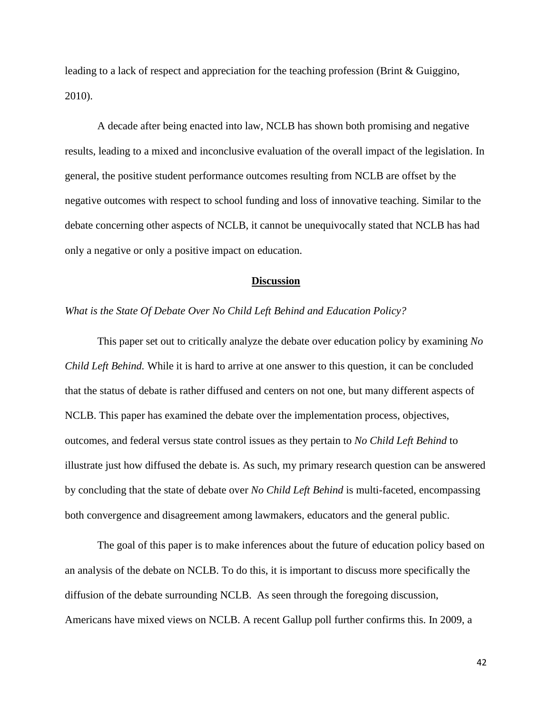leading to a lack of respect and appreciation for the teaching profession (Brint & Guiggino, 2010).

A decade after being enacted into law, NCLB has shown both promising and negative results, leading to a mixed and inconclusive evaluation of the overall impact of the legislation. In general, the positive student performance outcomes resulting from NCLB are offset by the negative outcomes with respect to school funding and loss of innovative teaching. Similar to the debate concerning other aspects of NCLB, it cannot be unequivocally stated that NCLB has had only a negative or only a positive impact on education.

#### **Discussion**

## *What is the State Of Debate Over No Child Left Behind and Education Policy?*

This paper set out to critically analyze the debate over education policy by examining *No Child Left Behind.* While it is hard to arrive at one answer to this question, it can be concluded that the status of debate is rather diffused and centers on not one, but many different aspects of NCLB. This paper has examined the debate over the implementation process, objectives, outcomes, and federal versus state control issues as they pertain to *No Child Left Behind* to illustrate just how diffused the debate is. As such, my primary research question can be answered by concluding that the state of debate over *No Child Left Behind* is multi-faceted, encompassing both convergence and disagreement among lawmakers, educators and the general public.

The goal of this paper is to make inferences about the future of education policy based on an analysis of the debate on NCLB. To do this, it is important to discuss more specifically the diffusion of the debate surrounding NCLB. As seen through the foregoing discussion, Americans have mixed views on NCLB. A recent Gallup poll further confirms this. In 2009, a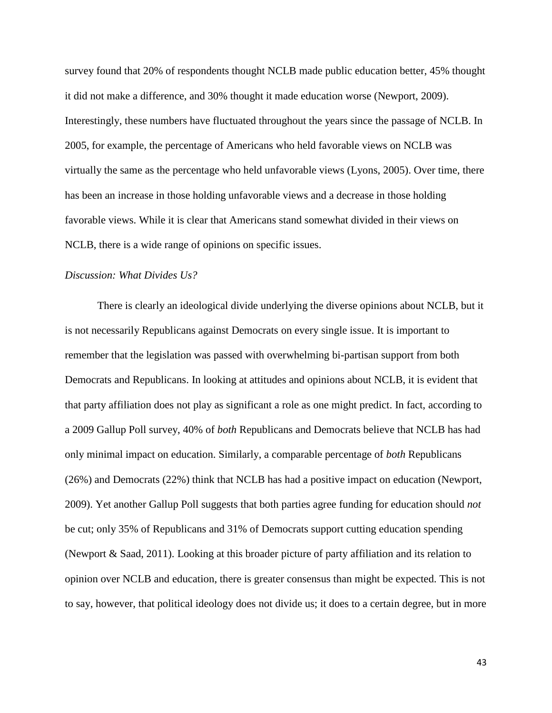survey found that 20% of respondents thought NCLB made public education better, 45% thought it did not make a difference, and 30% thought it made education worse (Newport, 2009). Interestingly, these numbers have fluctuated throughout the years since the passage of NCLB. In 2005, for example, the percentage of Americans who held favorable views on NCLB was virtually the same as the percentage who held unfavorable views (Lyons, 2005). Over time, there has been an increase in those holding unfavorable views and a decrease in those holding favorable views. While it is clear that Americans stand somewhat divided in their views on NCLB, there is a wide range of opinions on specific issues.

## *Discussion: What Divides Us?*

There is clearly an ideological divide underlying the diverse opinions about NCLB, but it is not necessarily Republicans against Democrats on every single issue. It is important to remember that the legislation was passed with overwhelming bi-partisan support from both Democrats and Republicans. In looking at attitudes and opinions about NCLB, it is evident that that party affiliation does not play as significant a role as one might predict. In fact, according to a 2009 Gallup Poll survey, 40% of *both* Republicans and Democrats believe that NCLB has had only minimal impact on education. Similarly, a comparable percentage of *both* Republicans (26%) and Democrats (22%) think that NCLB has had a positive impact on education (Newport, 2009). Yet another Gallup Poll suggests that both parties agree funding for education should *not* be cut; only 35% of Republicans and 31% of Democrats support cutting education spending (Newport & Saad, 2011). Looking at this broader picture of party affiliation and its relation to opinion over NCLB and education, there is greater consensus than might be expected. This is not to say, however, that political ideology does not divide us; it does to a certain degree, but in more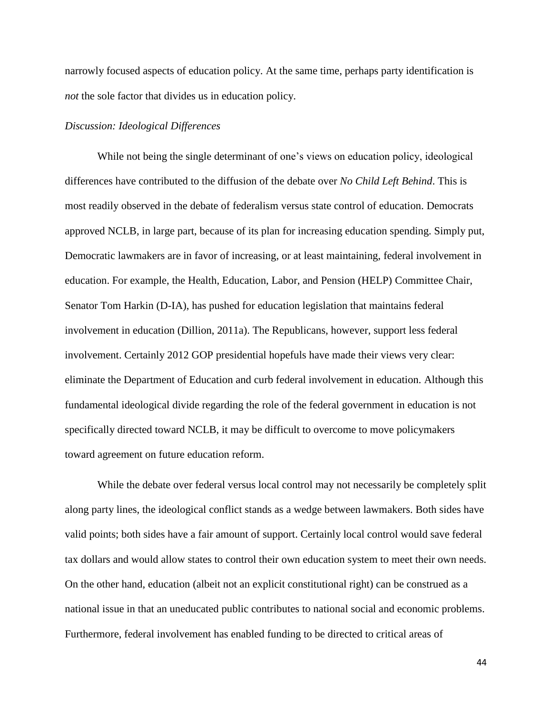narrowly focused aspects of education policy. At the same time, perhaps party identification is *not* the sole factor that divides us in education policy.

## *Discussion: Ideological Differences*

While not being the single determinant of one's views on education policy, ideological differences have contributed to the diffusion of the debate over *No Child Left Behind*. This is most readily observed in the debate of federalism versus state control of education. Democrats approved NCLB, in large part, because of its plan for increasing education spending. Simply put, Democratic lawmakers are in favor of increasing, or at least maintaining, federal involvement in education. For example, the Health, Education, Labor, and Pension (HELP) Committee Chair, Senator Tom Harkin (D-IA), has pushed for education legislation that maintains federal involvement in education (Dillion, 2011a). The Republicans, however, support less federal involvement. Certainly 2012 GOP presidential hopefuls have made their views very clear: eliminate the Department of Education and curb federal involvement in education. Although this fundamental ideological divide regarding the role of the federal government in education is not specifically directed toward NCLB, it may be difficult to overcome to move policymakers toward agreement on future education reform.

While the debate over federal versus local control may not necessarily be completely split along party lines, the ideological conflict stands as a wedge between lawmakers. Both sides have valid points; both sides have a fair amount of support. Certainly local control would save federal tax dollars and would allow states to control their own education system to meet their own needs. On the other hand, education (albeit not an explicit constitutional right) can be construed as a national issue in that an uneducated public contributes to national social and economic problems. Furthermore, federal involvement has enabled funding to be directed to critical areas of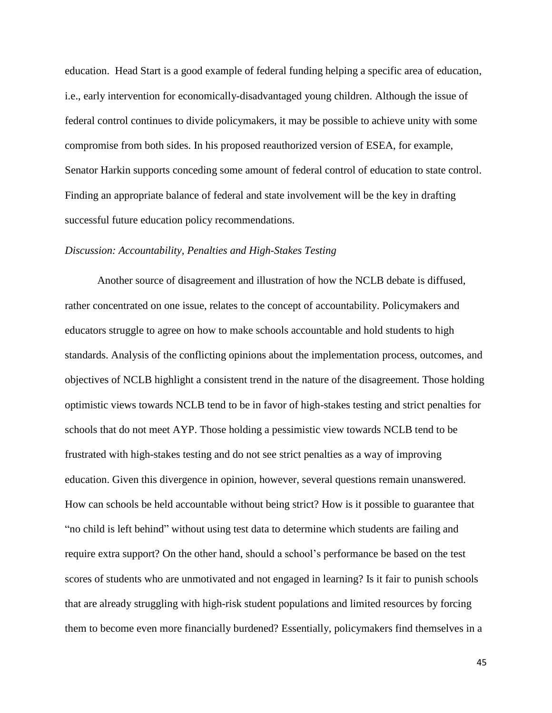education. Head Start is a good example of federal funding helping a specific area of education, i.e., early intervention for economically-disadvantaged young children. Although the issue of federal control continues to divide policymakers, it may be possible to achieve unity with some compromise from both sides. In his proposed reauthorized version of ESEA, for example, Senator Harkin supports conceding some amount of federal control of education to state control. Finding an appropriate balance of federal and state involvement will be the key in drafting successful future education policy recommendations.

# *Discussion: Accountability, Penalties and High-Stakes Testing*

Another source of disagreement and illustration of how the NCLB debate is diffused, rather concentrated on one issue, relates to the concept of accountability. Policymakers and educators struggle to agree on how to make schools accountable and hold students to high standards. Analysis of the conflicting opinions about the implementation process, outcomes, and objectives of NCLB highlight a consistent trend in the nature of the disagreement. Those holding optimistic views towards NCLB tend to be in favor of high-stakes testing and strict penalties for schools that do not meet AYP. Those holding a pessimistic view towards NCLB tend to be frustrated with high-stakes testing and do not see strict penalties as a way of improving education. Given this divergence in opinion, however, several questions remain unanswered. How can schools be held accountable without being strict? How is it possible to guarantee that "no child is left behind" without using test data to determine which students are failing and require extra support? On the other hand, should a school's performance be based on the test scores of students who are unmotivated and not engaged in learning? Is it fair to punish schools that are already struggling with high-risk student populations and limited resources by forcing them to become even more financially burdened? Essentially, policymakers find themselves in a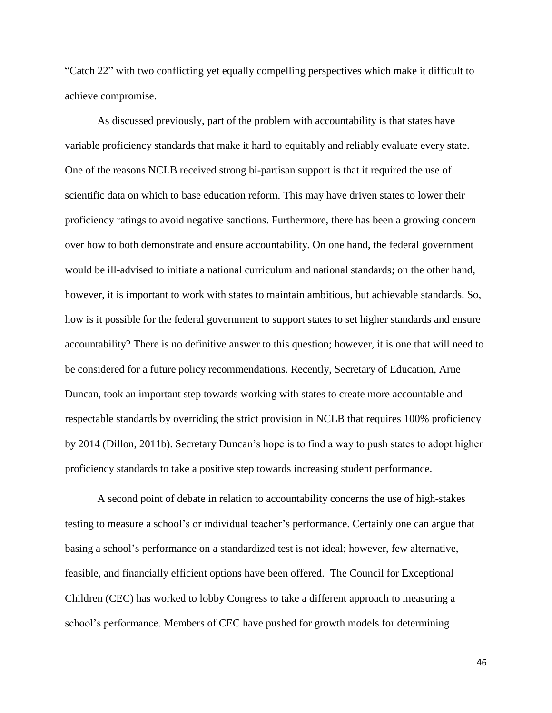"Catch 22" with two conflicting yet equally compelling perspectives which make it difficult to achieve compromise.

As discussed previously, part of the problem with accountability is that states have variable proficiency standards that make it hard to equitably and reliably evaluate every state. One of the reasons NCLB received strong bi-partisan support is that it required the use of scientific data on which to base education reform. This may have driven states to lower their proficiency ratings to avoid negative sanctions. Furthermore, there has been a growing concern over how to both demonstrate and ensure accountability. On one hand, the federal government would be ill-advised to initiate a national curriculum and national standards; on the other hand, however, it is important to work with states to maintain ambitious, but achievable standards. So, how is it possible for the federal government to support states to set higher standards and ensure accountability? There is no definitive answer to this question; however, it is one that will need to be considered for a future policy recommendations. Recently, Secretary of Education, Arne Duncan, took an important step towards working with states to create more accountable and respectable standards by overriding the strict provision in NCLB that requires 100% proficiency by 2014 (Dillon, 2011b). Secretary Duncan's hope is to find a way to push states to adopt higher proficiency standards to take a positive step towards increasing student performance.

A second point of debate in relation to accountability concerns the use of high-stakes testing to measure a school's or individual teacher's performance. Certainly one can argue that basing a school's performance on a standardized test is not ideal; however, few alternative, feasible, and financially efficient options have been offered. The Council for Exceptional Children (CEC) has worked to lobby Congress to take a different approach to measuring a school's performance. Members of CEC have pushed for growth models for determining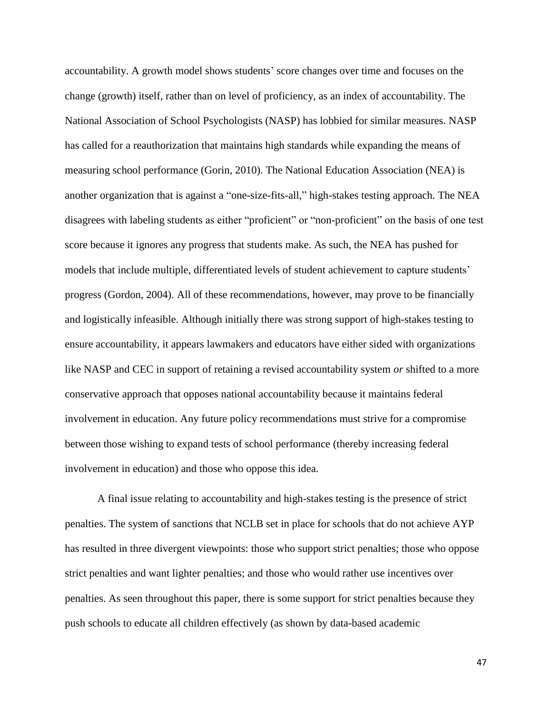accountability. A growth model shows students' score changes over time and focuses on the change (growth) itself, rather than on level of proficiency, as an index of accountability. The National Association of School Psychologists (NASP) has lobbied for similar measures. NASP has called for a reauthorization that maintains high standards while expanding the means of measuring school performance (Gorin, 2010). The National Education Association (NEA) is another organization that is against a "one-size-fits-all," high-stakes testing approach. The NEA disagrees with labeling students as either "proficient" or "non-proficient" on the basis of one test score because it ignores any progress that students make. As such, the NEA has pushed for models that include multiple, differentiated levels of student achievement to capture students' progress (Gordon, 2004). All of these recommendations, however, may prove to be financially and logistically infeasible. Although initially there was strong support of high-stakes testing to ensure accountability, it appears lawmakers and educators have either sided with organizations like NASP and CEC in support of retaining a revised accountability system *or* shifted to a more conservative approach that opposes national accountability because it maintains federal involvement in education. Any future policy recommendations must strive for a compromise between those wishing to expand tests of school performance (thereby increasing federal involvement in education) and those who oppose this idea.

A final issue relating to accountability and high-stakes testing is the presence of strict penalties. The system of sanctions that NCLB set in place for schools that do not achieve AYP has resulted in three divergent viewpoints: those who support strict penalties; those who oppose strict penalties and want lighter penalties; and those who would rather use incentives over penalties. As seen throughout this paper, there is some support for strict penalties because they push schools to educate all children effectively (as shown by data-based academic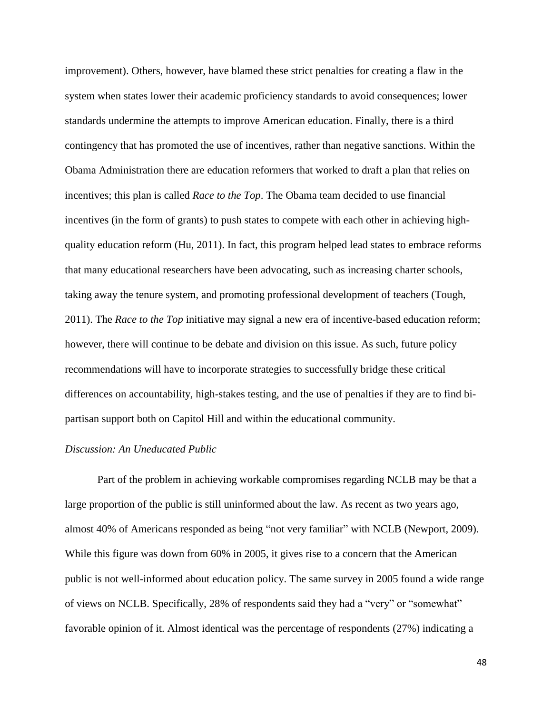improvement). Others, however, have blamed these strict penalties for creating a flaw in the system when states lower their academic proficiency standards to avoid consequences; lower standards undermine the attempts to improve American education. Finally, there is a third contingency that has promoted the use of incentives, rather than negative sanctions. Within the Obama Administration there are education reformers that worked to draft a plan that relies on incentives; this plan is called *Race to the Top*. The Obama team decided to use financial incentives (in the form of grants) to push states to compete with each other in achieving highquality education reform (Hu, 2011). In fact, this program helped lead states to embrace reforms that many educational researchers have been advocating, such as increasing charter schools, taking away the tenure system, and promoting professional development of teachers (Tough, 2011). The *Race to the Top* initiative may signal a new era of incentive-based education reform; however, there will continue to be debate and division on this issue. As such, future policy recommendations will have to incorporate strategies to successfully bridge these critical differences on accountability, high-stakes testing, and the use of penalties if they are to find bipartisan support both on Capitol Hill and within the educational community.

#### *Discussion: An Uneducated Public*

Part of the problem in achieving workable compromises regarding NCLB may be that a large proportion of the public is still uninformed about the law. As recent as two years ago, almost 40% of Americans responded as being "not very familiar" with NCLB (Newport, 2009). While this figure was down from 60% in 2005, it gives rise to a concern that the American public is not well-informed about education policy. The same survey in 2005 found a wide range of views on NCLB. Specifically, 28% of respondents said they had a "very" or "somewhat" favorable opinion of it. Almost identical was the percentage of respondents (27%) indicating a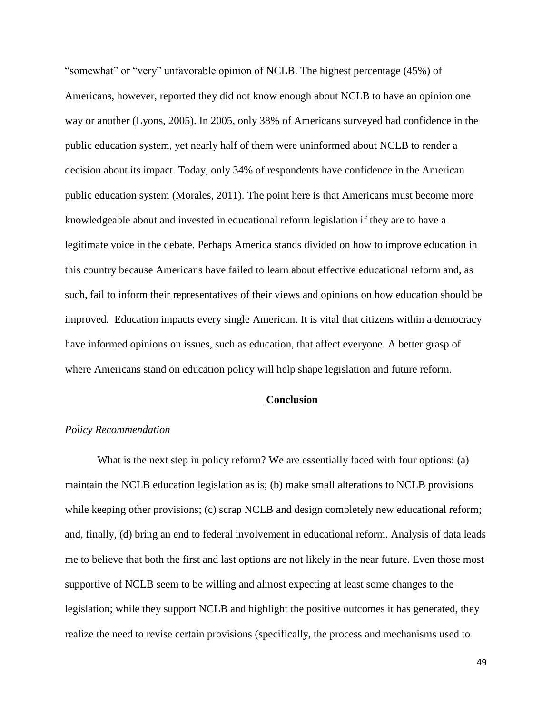"somewhat" or "very" unfavorable opinion of NCLB. The highest percentage (45%) of Americans, however, reported they did not know enough about NCLB to have an opinion one way or another (Lyons, 2005). In 2005, only 38% of Americans surveyed had confidence in the public education system, yet nearly half of them were uninformed about NCLB to render a decision about its impact. Today, only 34% of respondents have confidence in the American public education system (Morales, 2011). The point here is that Americans must become more knowledgeable about and invested in educational reform legislation if they are to have a legitimate voice in the debate. Perhaps America stands divided on how to improve education in this country because Americans have failed to learn about effective educational reform and, as such, fail to inform their representatives of their views and opinions on how education should be improved. Education impacts every single American. It is vital that citizens within a democracy have informed opinions on issues, such as education, that affect everyone. A better grasp of where Americans stand on education policy will help shape legislation and future reform.

#### **Conclusion**

# *Policy Recommendation*

What is the next step in policy reform? We are essentially faced with four options: (a) maintain the NCLB education legislation as is; (b) make small alterations to NCLB provisions while keeping other provisions; (c) scrap NCLB and design completely new educational reform; and, finally, (d) bring an end to federal involvement in educational reform. Analysis of data leads me to believe that both the first and last options are not likely in the near future. Even those most supportive of NCLB seem to be willing and almost expecting at least some changes to the legislation; while they support NCLB and highlight the positive outcomes it has generated, they realize the need to revise certain provisions (specifically, the process and mechanisms used to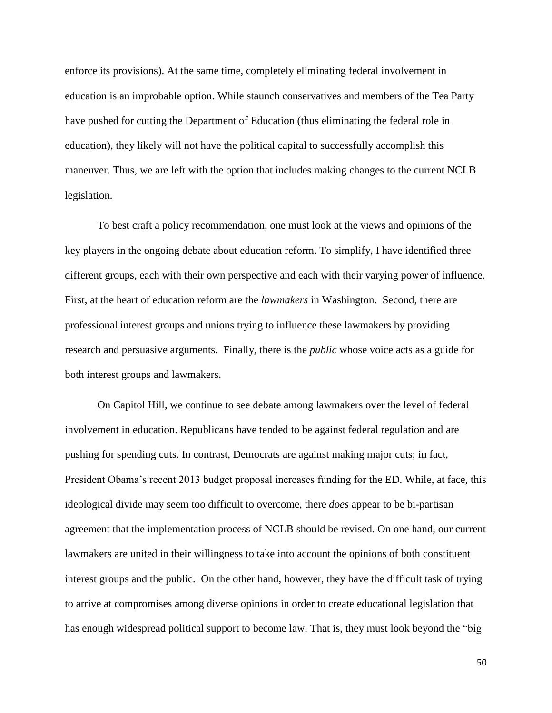enforce its provisions). At the same time, completely eliminating federal involvement in education is an improbable option. While staunch conservatives and members of the Tea Party have pushed for cutting the Department of Education (thus eliminating the federal role in education), they likely will not have the political capital to successfully accomplish this maneuver. Thus, we are left with the option that includes making changes to the current NCLB legislation.

To best craft a policy recommendation, one must look at the views and opinions of the key players in the ongoing debate about education reform. To simplify, I have identified three different groups, each with their own perspective and each with their varying power of influence. First, at the heart of education reform are the *lawmakers* in Washington. Second, there are professional interest groups and unions trying to influence these lawmakers by providing research and persuasive arguments. Finally, there is the *public* whose voice acts as a guide for both interest groups and lawmakers.

On Capitol Hill, we continue to see debate among lawmakers over the level of federal involvement in education. Republicans have tended to be against federal regulation and are pushing for spending cuts. In contrast, Democrats are against making major cuts; in fact, President Obama's recent 2013 budget proposal increases funding for the ED. While, at face, this ideological divide may seem too difficult to overcome, there *does* appear to be bi-partisan agreement that the implementation process of NCLB should be revised. On one hand, our current lawmakers are united in their willingness to take into account the opinions of both constituent interest groups and the public. On the other hand, however, they have the difficult task of trying to arrive at compromises among diverse opinions in order to create educational legislation that has enough widespread political support to become law. That is, they must look beyond the "big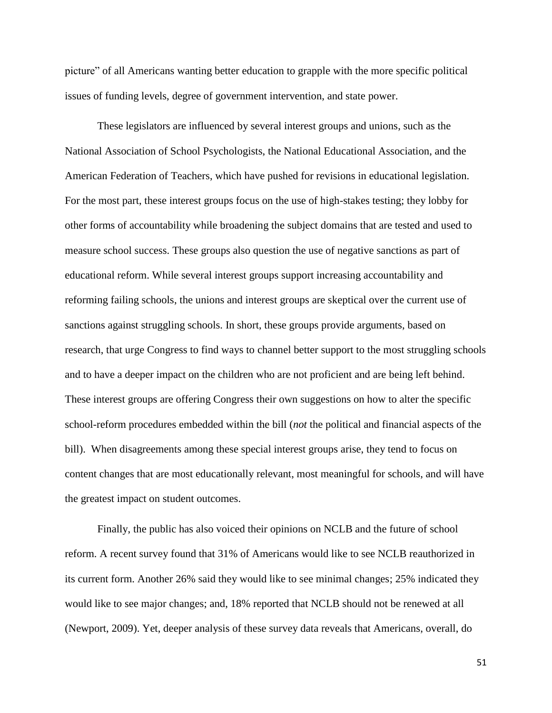picture" of all Americans wanting better education to grapple with the more specific political issues of funding levels, degree of government intervention, and state power.

These legislators are influenced by several interest groups and unions, such as the National Association of School Psychologists, the National Educational Association, and the American Federation of Teachers, which have pushed for revisions in educational legislation. For the most part, these interest groups focus on the use of high-stakes testing; they lobby for other forms of accountability while broadening the subject domains that are tested and used to measure school success. These groups also question the use of negative sanctions as part of educational reform. While several interest groups support increasing accountability and reforming failing schools, the unions and interest groups are skeptical over the current use of sanctions against struggling schools. In short, these groups provide arguments, based on research, that urge Congress to find ways to channel better support to the most struggling schools and to have a deeper impact on the children who are not proficient and are being left behind. These interest groups are offering Congress their own suggestions on how to alter the specific school-reform procedures embedded within the bill (*not* the political and financial aspects of the bill). When disagreements among these special interest groups arise, they tend to focus on content changes that are most educationally relevant, most meaningful for schools, and will have the greatest impact on student outcomes.

Finally, the public has also voiced their opinions on NCLB and the future of school reform. A recent survey found that 31% of Americans would like to see NCLB reauthorized in its current form. Another 26% said they would like to see minimal changes; 25% indicated they would like to see major changes; and, 18% reported that NCLB should not be renewed at all (Newport, 2009). Yet, deeper analysis of these survey data reveals that Americans, overall, do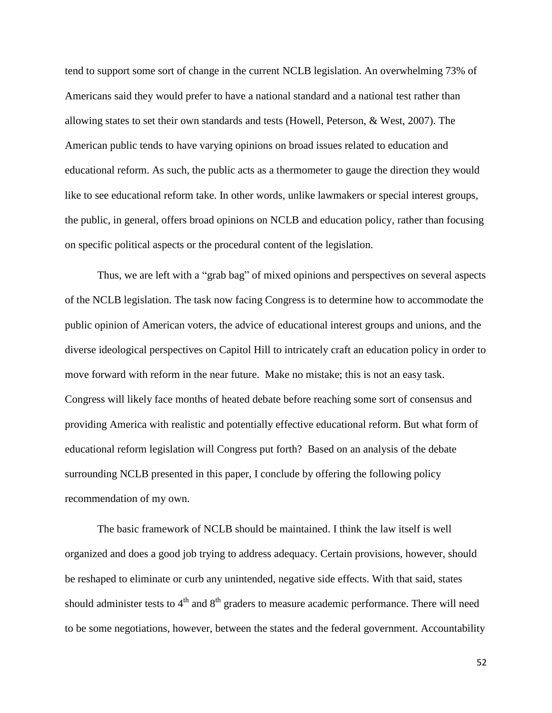tend to support some sort of change in the current NCLB legislation. An overwhelming 73% of Americans said they would prefer to have a national standard and a national test rather than allowing states to set their own standards and tests (Howell, Peterson, & West, 2007). The American public tends to have varying opinions on broad issues related to education and educational reform. As such, the public acts as a thermometer to gauge the direction they would like to see educational reform take. In other words, unlike lawmakers or special interest groups, the public, in general, offers broad opinions on NCLB and education policy, rather than focusing on specific political aspects or the procedural content of the legislation.

Thus, we are left with a "grab bag" of mixed opinions and perspectives on several aspects of the NCLB legislation. The task now facing Congress is to determine how to accommodate the public opinion of American voters, the advice of educational interest groups and unions, and the diverse ideological perspectives on Capitol Hill to intricately craft an education policy in order to move forward with reform in the near future. Make no mistake; this is not an easy task. Congress will likely face months of heated debate before reaching some sort of consensus and providing America with realistic and potentially effective educational reform. But what form of educational reform legislation will Congress put forth? Based on an analysis of the debate surrounding NCLB presented in this paper, I conclude by offering the following policy recommendation of my own.

The basic framework of NCLB should be maintained. I think the law itself is well organized and does a good job trying to address adequacy. Certain provisions, however, should be reshaped to eliminate or curb any unintended, negative side effects. With that said, states should administer tests to  $4<sup>th</sup>$  and  $8<sup>th</sup>$  graders to measure academic performance. There will need to be some negotiations, however, between the states and the federal government. Accountability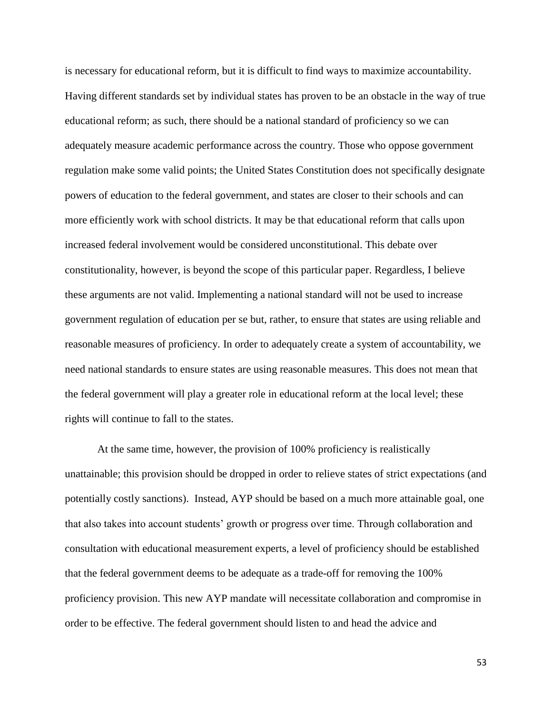is necessary for educational reform, but it is difficult to find ways to maximize accountability. Having different standards set by individual states has proven to be an obstacle in the way of true educational reform; as such, there should be a national standard of proficiency so we can adequately measure academic performance across the country. Those who oppose government regulation make some valid points; the United States Constitution does not specifically designate powers of education to the federal government, and states are closer to their schools and can more efficiently work with school districts. It may be that educational reform that calls upon increased federal involvement would be considered unconstitutional. This debate over constitutionality, however, is beyond the scope of this particular paper. Regardless, I believe these arguments are not valid. Implementing a national standard will not be used to increase government regulation of education per se but, rather, to ensure that states are using reliable and reasonable measures of proficiency. In order to adequately create a system of accountability, we need national standards to ensure states are using reasonable measures. This does not mean that the federal government will play a greater role in educational reform at the local level; these rights will continue to fall to the states.

At the same time, however, the provision of 100% proficiency is realistically unattainable; this provision should be dropped in order to relieve states of strict expectations (and potentially costly sanctions). Instead, AYP should be based on a much more attainable goal, one that also takes into account students' growth or progress over time. Through collaboration and consultation with educational measurement experts, a level of proficiency should be established that the federal government deems to be adequate as a trade-off for removing the 100% proficiency provision. This new AYP mandate will necessitate collaboration and compromise in order to be effective. The federal government should listen to and head the advice and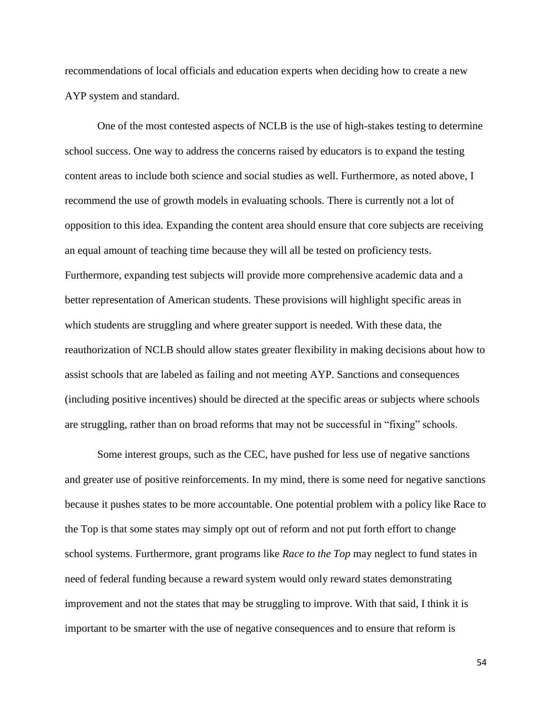recommendations of local officials and education experts when deciding how to create a new AYP system and standard.

One of the most contested aspects of NCLB is the use of high-stakes testing to determine school success. One way to address the concerns raised by educators is to expand the testing content areas to include both science and social studies as well. Furthermore, as noted above, I recommend the use of growth models in evaluating schools. There is currently not a lot of opposition to this idea. Expanding the content area should ensure that core subjects are receiving an equal amount of teaching time because they will all be tested on proficiency tests. Furthermore, expanding test subjects will provide more comprehensive academic data and a better representation of American students. These provisions will highlight specific areas in which students are struggling and where greater support is needed. With these data, the reauthorization of NCLB should allow states greater flexibility in making decisions about how to assist schools that are labeled as failing and not meeting AYP. Sanctions and consequences (including positive incentives) should be directed at the specific areas or subjects where schools are struggling, rather than on broad reforms that may not be successful in "fixing" schools.

Some interest groups, such as the CEC, have pushed for less use of negative sanctions and greater use of positive reinforcements. In my mind, there is some need for negative sanctions because it pushes states to be more accountable. One potential problem with a policy like Race to the Top is that some states may simply opt out of reform and not put forth effort to change school systems. Furthermore, grant programs like *Race to the Top* may neglect to fund states in need of federal funding because a reward system would only reward states demonstrating improvement and not the states that may be struggling to improve. With that said, I think it is important to be smarter with the use of negative consequences and to ensure that reform is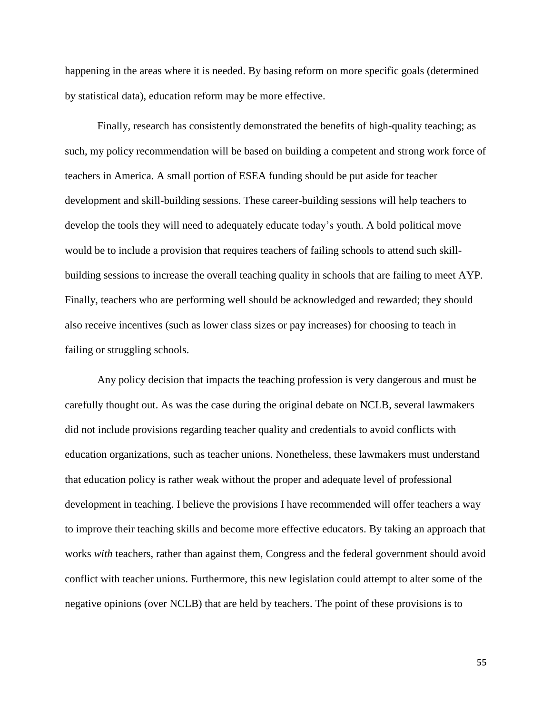happening in the areas where it is needed. By basing reform on more specific goals (determined by statistical data), education reform may be more effective.

Finally, research has consistently demonstrated the benefits of high-quality teaching; as such, my policy recommendation will be based on building a competent and strong work force of teachers in America. A small portion of ESEA funding should be put aside for teacher development and skill-building sessions. These career-building sessions will help teachers to develop the tools they will need to adequately educate today's youth. A bold political move would be to include a provision that requires teachers of failing schools to attend such skillbuilding sessions to increase the overall teaching quality in schools that are failing to meet AYP. Finally, teachers who are performing well should be acknowledged and rewarded; they should also receive incentives (such as lower class sizes or pay increases) for choosing to teach in failing or struggling schools.

Any policy decision that impacts the teaching profession is very dangerous and must be carefully thought out. As was the case during the original debate on NCLB, several lawmakers did not include provisions regarding teacher quality and credentials to avoid conflicts with education organizations, such as teacher unions. Nonetheless, these lawmakers must understand that education policy is rather weak without the proper and adequate level of professional development in teaching. I believe the provisions I have recommended will offer teachers a way to improve their teaching skills and become more effective educators. By taking an approach that works *with* teachers, rather than against them, Congress and the federal government should avoid conflict with teacher unions. Furthermore, this new legislation could attempt to alter some of the negative opinions (over NCLB) that are held by teachers. The point of these provisions is to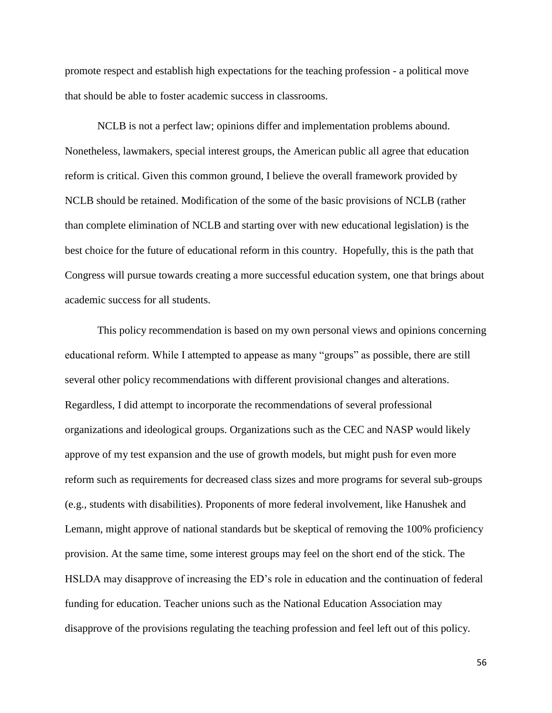promote respect and establish high expectations for the teaching profession - a political move that should be able to foster academic success in classrooms.

NCLB is not a perfect law; opinions differ and implementation problems abound. Nonetheless, lawmakers, special interest groups, the American public all agree that education reform is critical. Given this common ground, I believe the overall framework provided by NCLB should be retained. Modification of the some of the basic provisions of NCLB (rather than complete elimination of NCLB and starting over with new educational legislation) is the best choice for the future of educational reform in this country. Hopefully, this is the path that Congress will pursue towards creating a more successful education system, one that brings about academic success for all students.

This policy recommendation is based on my own personal views and opinions concerning educational reform. While I attempted to appease as many "groups" as possible, there are still several other policy recommendations with different provisional changes and alterations. Regardless, I did attempt to incorporate the recommendations of several professional organizations and ideological groups. Organizations such as the CEC and NASP would likely approve of my test expansion and the use of growth models, but might push for even more reform such as requirements for decreased class sizes and more programs for several sub-groups (e.g., students with disabilities). Proponents of more federal involvement, like Hanushek and Lemann, might approve of national standards but be skeptical of removing the 100% proficiency provision. At the same time, some interest groups may feel on the short end of the stick. The HSLDA may disapprove of increasing the ED's role in education and the continuation of federal funding for education. Teacher unions such as the National Education Association may disapprove of the provisions regulating the teaching profession and feel left out of this policy.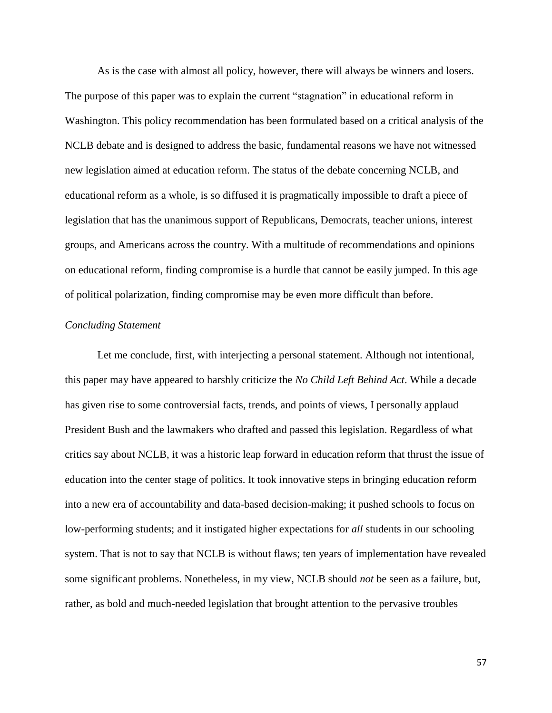As is the case with almost all policy, however, there will always be winners and losers. The purpose of this paper was to explain the current "stagnation" in educational reform in Washington. This policy recommendation has been formulated based on a critical analysis of the NCLB debate and is designed to address the basic, fundamental reasons we have not witnessed new legislation aimed at education reform. The status of the debate concerning NCLB, and educational reform as a whole, is so diffused it is pragmatically impossible to draft a piece of legislation that has the unanimous support of Republicans, Democrats, teacher unions, interest groups, and Americans across the country. With a multitude of recommendations and opinions on educational reform, finding compromise is a hurdle that cannot be easily jumped. In this age of political polarization, finding compromise may be even more difficult than before.

# *Concluding Statement*

Let me conclude, first, with interjecting a personal statement. Although not intentional, this paper may have appeared to harshly criticize the *No Child Left Behind Act*. While a decade has given rise to some controversial facts, trends, and points of views, I personally applaud President Bush and the lawmakers who drafted and passed this legislation. Regardless of what critics say about NCLB, it was a historic leap forward in education reform that thrust the issue of education into the center stage of politics. It took innovative steps in bringing education reform into a new era of accountability and data-based decision-making; it pushed schools to focus on low-performing students; and it instigated higher expectations for *all* students in our schooling system. That is not to say that NCLB is without flaws; ten years of implementation have revealed some significant problems. Nonetheless, in my view, NCLB should *not* be seen as a failure, but, rather, as bold and much-needed legislation that brought attention to the pervasive troubles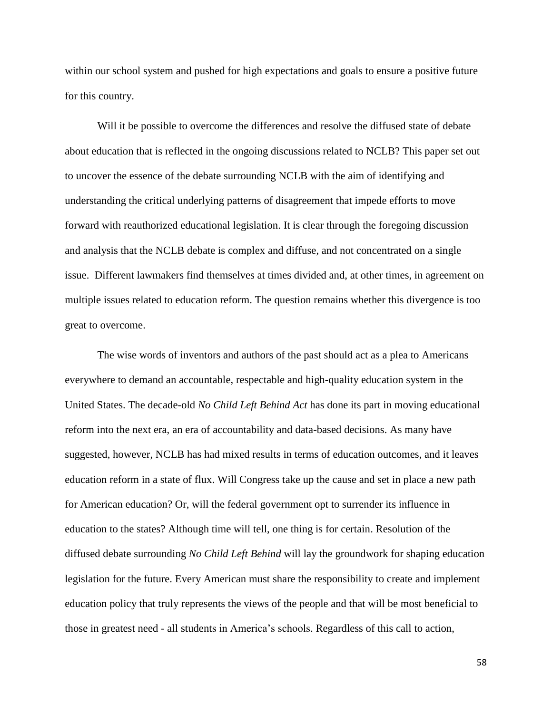within our school system and pushed for high expectations and goals to ensure a positive future for this country.

Will it be possible to overcome the differences and resolve the diffused state of debate about education that is reflected in the ongoing discussions related to NCLB? This paper set out to uncover the essence of the debate surrounding NCLB with the aim of identifying and understanding the critical underlying patterns of disagreement that impede efforts to move forward with reauthorized educational legislation. It is clear through the foregoing discussion and analysis that the NCLB debate is complex and diffuse, and not concentrated on a single issue. Different lawmakers find themselves at times divided and, at other times, in agreement on multiple issues related to education reform. The question remains whether this divergence is too great to overcome.

The wise words of inventors and authors of the past should act as a plea to Americans everywhere to demand an accountable, respectable and high-quality education system in the United States. The decade-old *No Child Left Behind Act* has done its part in moving educational reform into the next era, an era of accountability and data-based decisions. As many have suggested, however, NCLB has had mixed results in terms of education outcomes, and it leaves education reform in a state of flux. Will Congress take up the cause and set in place a new path for American education? Or, will the federal government opt to surrender its influence in education to the states? Although time will tell, one thing is for certain. Resolution of the diffused debate surrounding *No Child Left Behind* will lay the groundwork for shaping education legislation for the future. Every American must share the responsibility to create and implement education policy that truly represents the views of the people and that will be most beneficial to those in greatest need - all students in America's schools. Regardless of this call to action,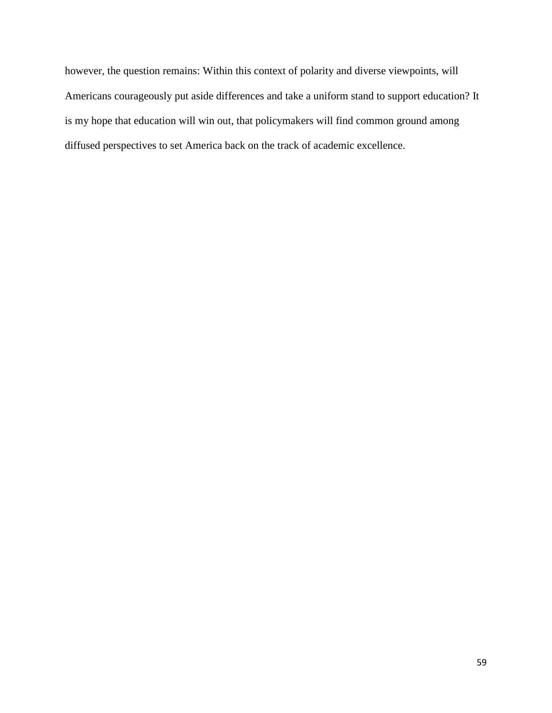however, the question remains: Within this context of polarity and diverse viewpoints, will Americans courageously put aside differences and take a uniform stand to support education? It is my hope that education will win out, that policymakers will find common ground among diffused perspectives to set America back on the track of academic excellence.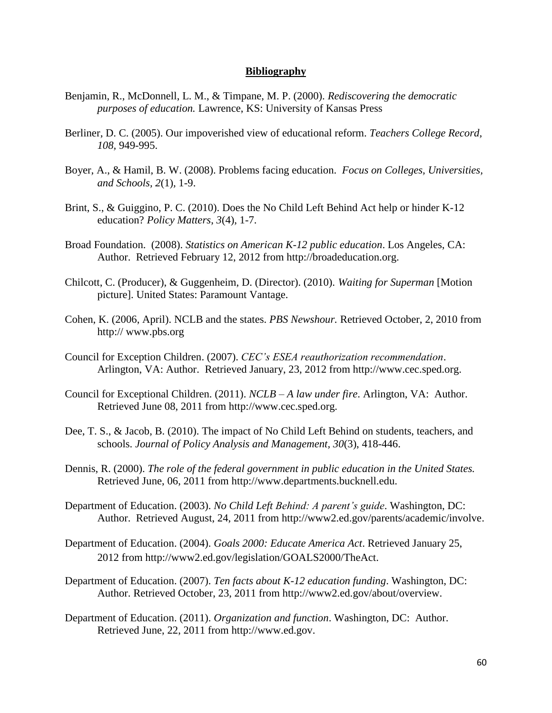## **Bibliography**

- Benjamin, R., McDonnell, L. M., & Timpane, M. P. (2000). *Rediscovering the democratic purposes of education.* Lawrence, KS: University of Kansas Press
- Berliner, D. C. (2005). Our impoverished view of educational reform. *Teachers College Record, 108,* 949-995.
- Boyer, A., & Hamil, B. W. (2008). Problems facing education. *Focus on Colleges, Universities, and Schools, 2*(1)*,* 1-9.
- Brint, S., & Guiggino, P. C. (2010). Does the No Child Left Behind Act help or hinder K-12 education? *Policy Matters*, *3*(4), 1-7.
- Broad Foundation. (2008). *Statistics on American K-12 public education*. Los Angeles, CA: Author. Retrieved February 12, 2012 from http://broadeducation.org.
- Chilcott, C. (Producer), & Guggenheim, D. (Director). (2010). *Waiting for Superman* [Motion picture]. United States: Paramount Vantage.
- Cohen, K. (2006, April). NCLB and the states. *PBS Newshour.* Retrieved October, 2, 2010 from http:// www.pbs.org
- Council for Exception Children. (2007). *CEC's ESEA reauthorization recommendation*. Arlington, VA: Author. Retrieved January, 23, 2012 from http://www.cec.sped.org.
- Council for Exceptional Children. (2011). *NCLB – A law under fire*. Arlington, VA: Author. Retrieved June 08, 2011 from http://www.cec.sped.org.
- Dee, T. S., & Jacob, B. (2010). The impact of No Child Left Behind on students, teachers, and schools. *Journal of Policy Analysis and Management, 30*(3), 418-446.
- Dennis, R. (2000). *The role of the federal government in public education in the United States.* Retrieved June, 06, 2011 from http:/[/www.departments.bucknell.edu.](http://www.departments.bucknell.edu/edu/ed370/federal.com)
- Department of Education. (2003). *No Child Left Behind: A parent's guide*. Washington, DC: Author. Retrieved August, 24, 2011 from http://www2.ed.gov/parents/academic/involve.
- Department of Education. (2004). *Goals 2000: Educate America Act*. Retrieved January 25, 2012 from http://www2.ed.gov/legislation/GOALS2000/TheAct.
- Department of Education. (2007). *Ten facts about K-12 education funding*. Washington, DC: Author. Retrieved October, 23, 2011 from [http://www2.ed.gov/about/overview.](http://www2.ed.gov/about/overview)
- Department of Education. (2011). *Organization and function*. Washington, DC: Author. Retrieved June, 22, 2011 from http://www.ed.gov.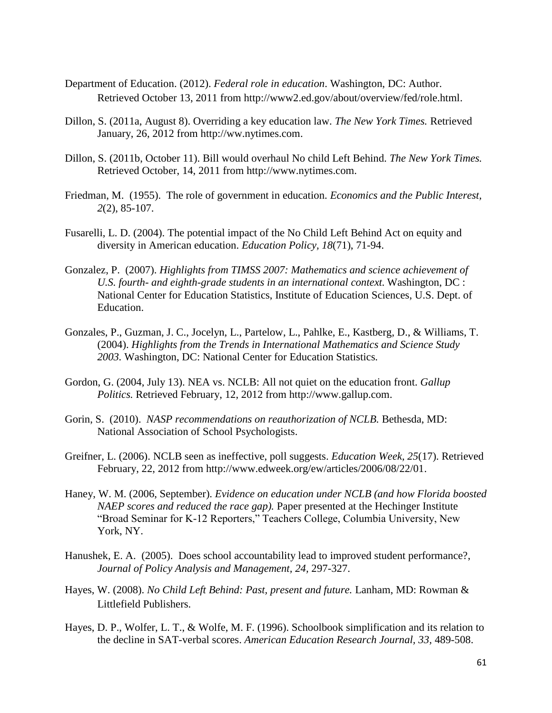- Department of Education. (2012). *Federal role in education*. Washington, DC: Author. Retrieved October 13, 2011 from [http://www2.ed.gov/about/overview/fed/role.html.](http://www2.ed.gov/about/overview/fed/role.html)
- Dillon, S. (2011a, August 8). Overriding a key education law. *The New York Times.* Retrieved January, 26, 2012 from [http://ww.nytimes.com.](http://ww.nytimes.com/)
- Dillon, S. (2011b, October 11). Bill would overhaul No child Left Behind. *The New York Times.* Retrieved October, 14, 2011 from [http://www.nytimes.com.](http://www.nytimes.com/)
- Friedman, M. (1955). The role of government in education. *Economics and the Public Interest, 2*(2), 85-107.
- Fusarelli, L. D. (2004). The potential impact of the No Child Left Behind Act on equity and diversity in American education. *Education Policy, 18*(71), 71-94.
- Gonzalez, P. (2007). *Highlights from TIMSS 2007: Mathematics and science achievement of U.S. fourth- and eighth-grade students in an international context.* Washington, DC : National Center for Education Statistics, Institute of Education Sciences, U.S. Dept. of Education.
- Gonzales, P., Guzman, J. C., Jocelyn, L., Partelow, L., Pahlke, E., Kastberg, D., & Williams, T. (2004). *Highlights from the Trends in International Mathematics and Science Study 2003.* Washington, DC: National Center for Education Statistics*.*
- Gordon, G. (2004, July 13). NEA vs. NCLB: All not quiet on the education front. *Gallup Politics.* Retrieved February, 12, 2012 from [http://www.gallup.com.](http://www.gallup.com/)
- Gorin, S. (2010). *NASP recommendations on reauthorization of NCLB.* Bethesda, MD: National Association of School Psychologists.
- Greifner, L. (2006). NCLB seen as ineffective, poll suggests. *Education Week, 25*(17). Retrieved February, 22, 2012 from [http://www.edweek.org/ew/articles/2006/08/22/01.](http://www.edweek.org/ew/articles/2006/08/22/01)
- Haney, W. M. (2006, September). *Evidence on education under NCLB (and how Florida boosted NAEP scores and reduced the race gap).* Paper presented at the Hechinger Institute "Broad Seminar for K-12 Reporters," Teachers College, Columbia University, New York, NY.
- Hanushek, E. A. (2005). [Does school accountability lead to improved student performance?,](http://ideas.repec.org/a/wly/jpamgt/v24y2005i2p297-327.html) *[Journal of Policy Analysis and Management,](http://ideas.repec.org/s/wly/jpamgt.html) 24,* 297-327.
- Hayes, W. (2008). *No Child Left Behind: Past, present and future.* Lanham, MD: Rowman & Littlefield Publishers.
- Hayes, D. P., Wolfer, L. T., & Wolfe, M. F. (1996). Schoolbook simplification and its relation to the decline in SAT-verbal scores. *American Education Research Journal, 33,* 489-508.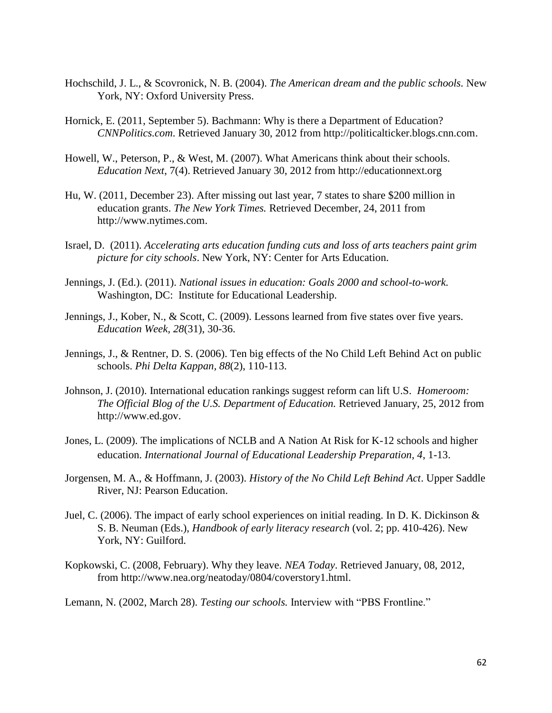- Hochschild, J. L., & Scovronick, N. B. (2004). *[The American dream and the public schools.](http://www.amazon.com/dp/0195176030/ref=rdr_ext_tmb)* New York, NY: Oxford University Press.
- Hornick, E. (2011, September 5). Bachmann: Why is there a Department of Education? *CNNPolitics.com*. Retrieved January 30, 2012 from http://politicalticker.blogs.cnn.com.
- Howell, W., Peterson, P., & West, M. (2007). What Americans think about their schools. *Education Next*, 7(4). Retrieved January 30, 2012 from http://educationnext.org
- Hu, W. (2011, December 23). After missing out last year, 7 states to share \$200 million in education grants. *The New York Times.* Retrieved December, 24, 2011 from [http://www.nytimes.com.](http://www.nytimes.com/)
- Israel, D. (2011). *Accelerating arts education funding cuts and loss of arts teachers paint grim picture for city schools*. New York, NY: Center for Arts Education.
- Jennings, J. (Ed.). (2011). *National issues in education: Goals 2000 and school-to-work.*  Washington, DC: Institute for Educational Leadership.
- Jennings, J., Kober, N., & Scott, C. (2009). Lessons learned from five states over five years. *Education Week, 28*(31), 30-36.
- Jennings, J., & Rentner, D. S. (2006). Ten big effects of the No Child Left Behind Act on public schools. *Phi Delta Kappan, 88*(2), 110-113.
- Johnson, J. (2010). International education rankings suggest reform can lift U.S. *Homeroom: The Official Blog of the U.S. Department of Education.* Retrieved January, 25, 2012 from http://www.ed.gov.
- Jones, L. (2009). The implications of NCLB and A Nation At Risk for K-12 schools and higher education. *International Journal of Educational Leadership Preparation, 4*, 1-13.
- Jorgensen, M. A., & Hoffmann, J. (2003). *History of the No Child Left Behind Act*. Upper Saddle River, NJ: Pearson Education.
- Juel, C. (2006). The impact of early school experiences on initial reading. In D. K. Dickinson & S. B. Neuman (Eds.), *Handbook of early literacy research* (vol. 2; pp. 410-426). New York, NY: Guilford.
- Kopkowski, C. (2008, February). Why they leave. *NEA Today*. Retrieved January, 08, 2012, from http://www.nea.org/neatoday/0804/coverstory1.html.

Lemann, N. (2002, March 28). *Testing our schools.* Interview with "PBS Frontline."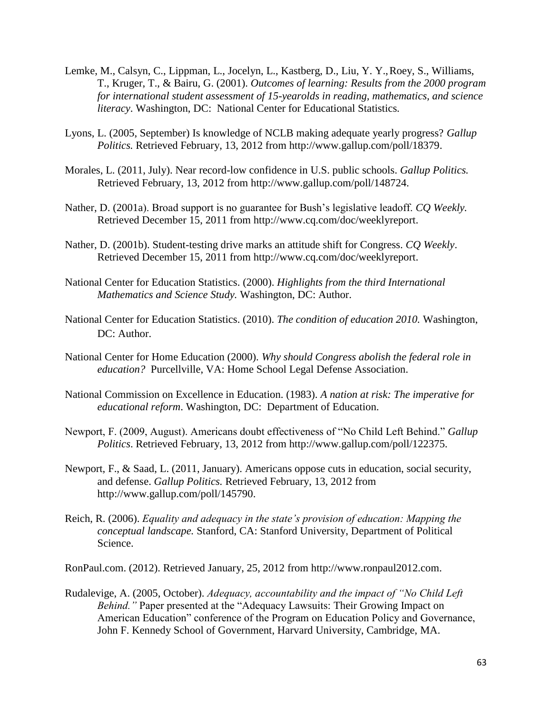- Lemke, M., Calsyn, C., Lippman, L., Jocelyn, L., Kastberg, D., Liu, Y. Y.,Roey, S., Williams, T., Kruger, T., & Bairu, G. (2001). *Outcomes of learning: Results from the 2000 program for international student assessment of 15-yearolds in reading, mathematics, and science literacy*. Washington, DC: National Center for Educational Statistics*.*
- Lyons, L. (2005, September) Is knowledge of NCLB making adequate yearly progress? *Gallup Politics.* Retrieved February, 13, 2012 from [http://www.gallup.com/poll/18379.](http://www.gallup.com/poll/18379)
- Morales, L. (2011, July). Near record-low confidence in U.S. public schools. *Gallup Politics.* Retrieved February, 13, 2012 from<http://www.gallup.com/poll/148724.>
- Nather, D. (2001a). Broad support is no guarantee for Bush's legislative leadoff. *CQ Weekly.*  Retrieved December 15, 2011 from [http://www.cq.com/doc/weeklyreport.](http://www.cq.com/doc/weeklyreport)
- Nather, D. (2001b). Student-testing drive marks an attitude shift for Congress. *CQ Weekly*. Retrieved December 15, 2011 from [http://www.cq.com/doc/weeklyreport.](http://www.cq.com/doc/weeklyreport)
- National Center for Education Statistics. (2000). *Highlights from the third International Mathematics and Science Study.* Washington, DC: Author.
- National Center for Education Statistics. (2010). *The condition of education 2010.* Washington, DC: Author.
- National Center for Home Education (2000). *Why should Congress abolish the federal role in education?* Purcellville, VA: Home School Legal Defense Association.
- National Commission on Excellence in Education. (1983). *A nation at risk: The imperative for educational reform*. Washington, DC: Department of Education.
- Newport, F. (2009, August). Americans doubt effectiveness of "No Child Left Behind." *Gallup Politics*. Retrieved February, 13, 2012 from <http://www.gallup.com/poll/122375.>
- Newport, F., & Saad, L. (2011, January). Americans oppose cuts in education, social security, and defense. *Gallup Politics.* Retrieved February, 13, 2012 from [http://www.gallup.com/poll/145790.](http://www.gallup.com/poll/145790)
- Reich, R. (2006). *Equality and adequacy in the state's provision of education: Mapping the conceptual landscape.* Stanford, CA: Stanford University, Department of Political Science.

RonPaul.com. (2012). Retrieved January, 25, 2012 from [http://www.ronpaul2012.com.](http://www.ronpaul2012.com./)

Rudalevige, A. (2005, October). *Adequacy, accountability and the impact of "No Child Left Behind."* Paper presented at the "Adequacy Lawsuits: Their Growing Impact on American Education" conference of the Program on Education Policy and Governance, John F. Kennedy School of Government, Harvard University, Cambridge, MA.